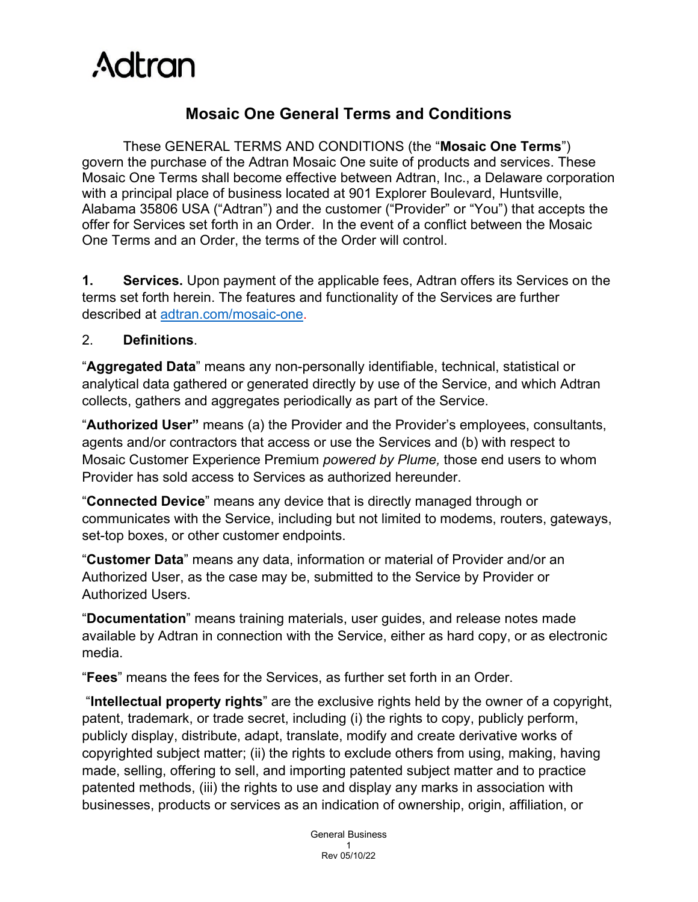

# **Mosaic One General Terms and Conditions**

These GENERAL TERMS AND CONDITIONS (the "**Mosaic One Terms**") govern the purchase of the Adtran Mosaic One suite of products and services. These Mosaic One Terms shall become effective between Adtran, Inc., a Delaware corporation with a principal place of business located at 901 Explorer Boulevard, Huntsville, Alabama 35806 USA ("Adtran") and the customer ("Provider" or "You") that accepts the offer for Services set forth in an Order. In the event of a conflict between the Mosaic One Terms and an Order, the terms of the Order will control.

**1. Services.** Upon payment of the applicable fees, Adtran offers its Services on the terms set forth herein. The features and functionality of the Services are further described at [adtran.com/mosaic-one.](https://adtran.com/mosaic-one)

### 2. **Definitions**.

"**Aggregated Data**" means any non-personally identifiable, technical, statistical or analytical data gathered or generated directly by use of the Service, and which Adtran collects, gathers and aggregates periodically as part of the Service.

"**Authorized User"** means (a) the Provider and the Provider's employees, consultants, agents and/or contractors that access or use the Services and (b) with respect to Mosaic Customer Experience Premium *powered by Plume,* those end users to whom Provider has sold access to Services as authorized hereunder.

"**Connected Device**" means any device that is directly managed through or communicates with the Service, including but not limited to modems, routers, gateways, set-top boxes, or other customer endpoints.

"**Customer Data**" means any data, information or material of Provider and/or an Authorized User, as the case may be, submitted to the Service by Provider or Authorized Users.

"**Documentation**" means training materials, user guides, and release notes made available by Adtran in connection with the Service, either as hard copy, or as electronic media.

"**Fees**" means the fees for the Services, as further set forth in an Order.

 "**Intellectual property rights**" are the exclusive rights held by the owner of a copyright, patent, trademark, or trade secret, including (i) the rights to copy, publicly perform, publicly display, distribute, adapt, translate, modify and create derivative works of copyrighted subject matter; (ii) the rights to exclude others from using, making, having made, selling, offering to sell, and importing patented subject matter and to practice patented methods, (iii) the rights to use and display any marks in association with businesses, products or services as an indication of ownership, origin, affiliation, or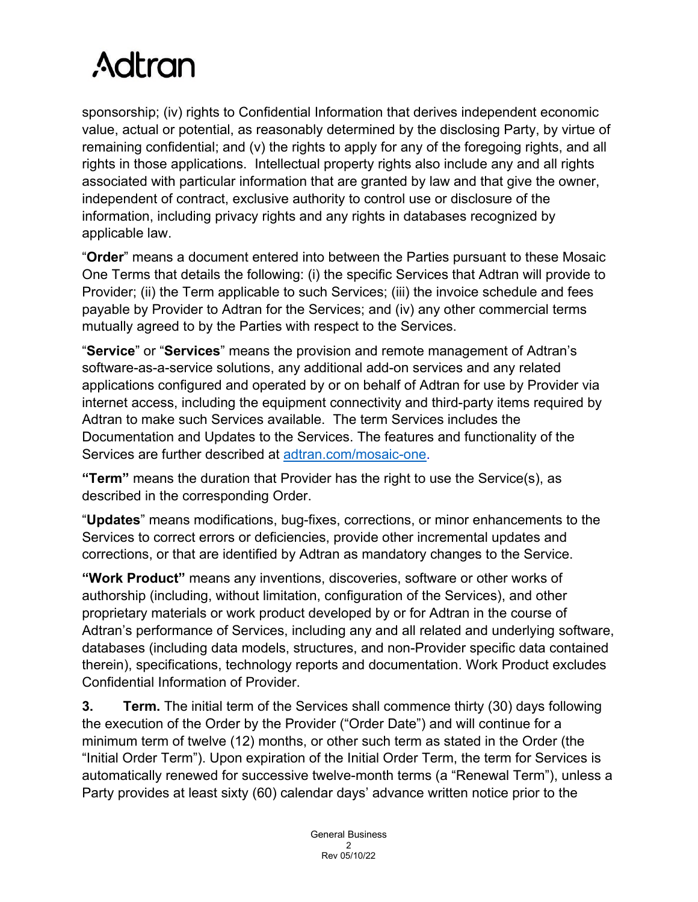sponsorship; (iv) rights to Confidential Information that derives independent economic value, actual or potential, as reasonably determined by the disclosing Party, by virtue of remaining confidential; and (v) the rights to apply for any of the foregoing rights, and all rights in those applications. Intellectual property rights also include any and all rights associated with particular information that are granted by law and that give the owner, independent of contract, exclusive authority to control use or disclosure of the information, including privacy rights and any rights in databases recognized by applicable law.

"**Order**" means a document entered into between the Parties pursuant to these Mosaic One Terms that details the following: (i) the specific Services that Adtran will provide to Provider; (ii) the Term applicable to such Services; (iii) the invoice schedule and fees payable by Provider to Adtran for the Services; and (iv) any other commercial terms mutually agreed to by the Parties with respect to the Services.

"**Service**" or "**Services**" means the provision and remote management of Adtran's software-as-a-service solutions, any additional add-on services and any related applications configured and operated by or on behalf of Adtran for use by Provider via internet access, including the equipment connectivity and third-party items required by Adtran to make such Services available. The term Services includes the Documentation and Updates to the Services. The features and functionality of the Services are further described at [adtran.com/mosaic-one.](https://adtran.com/mosaic-one)

**"Term"** means the duration that Provider has the right to use the Service(s), as described in the corresponding Order.

"**Updates**" means modifications, bug-fixes, corrections, or minor enhancements to the Services to correct errors or deficiencies, provide other incremental updates and corrections, or that are identified by Adtran as mandatory changes to the Service.

**"Work Product"** means any inventions, discoveries, software or other works of authorship (including, without limitation, configuration of the Services), and other proprietary materials or work product developed by or for Adtran in the course of Adtran's performance of Services, including any and all related and underlying software, databases (including data models, structures, and non-Provider specific data contained therein), specifications, technology reports and documentation. Work Product excludes Confidential Information of Provider.

**3. Term.** The initial term of the Services shall commence thirty (30) days following the execution of the Order by the Provider ("Order Date") and will continue for a minimum term of twelve (12) months, or other such term as stated in the Order (the "Initial Order Term"). Upon expiration of the Initial Order Term, the term for Services is automatically renewed for successive twelve-month terms (a "Renewal Term"), unless a Party provides at least sixty (60) calendar days' advance written notice prior to the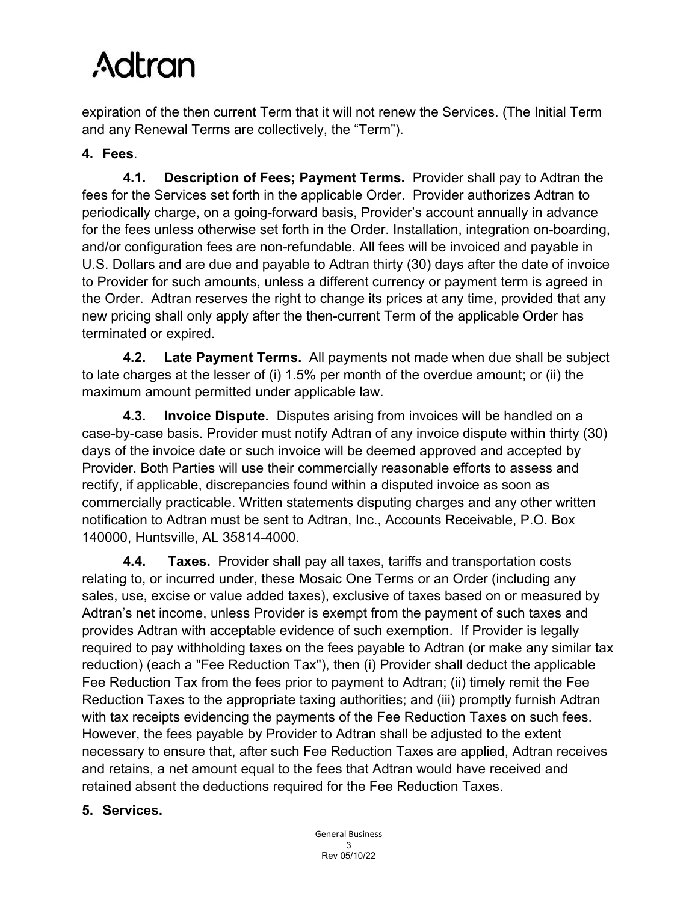expiration of the then current Term that it will not renew the Services. (The Initial Term and any Renewal Terms are collectively, the "Term").

# **4. Fees**.

**4.1. Description of Fees; Payment Terms.** Provider shall pay to Adtran the fees for the Services set forth in the applicable Order. Provider authorizes Adtran to periodically charge, on a going-forward basis, Provider's account annually in advance for the fees unless otherwise set forth in the Order. Installation, integration on-boarding, and/or configuration fees are non-refundable. All fees will be invoiced and payable in U.S. Dollars and are due and payable to Adtran thirty (30) days after the date of invoice to Provider for such amounts, unless a different currency or payment term is agreed in the Order. Adtran reserves the right to change its prices at any time, provided that any new pricing shall only apply after the then-current Term of the applicable Order has terminated or expired.

**4.2. Late Payment Terms.** All payments not made when due shall be subject to late charges at the lesser of (i) 1.5% per month of the overdue amount; or (ii) the maximum amount permitted under applicable law.

**4.3. Invoice Dispute.** Disputes arising from invoices will be handled on a case-by-case basis. Provider must notify Adtran of any invoice dispute within thirty (30) days of the invoice date or such invoice will be deemed approved and accepted by Provider. Both Parties will use their commercially reasonable efforts to assess and rectify, if applicable, discrepancies found within a disputed invoice as soon as commercially practicable. Written statements disputing charges and any other written notification to Adtran must be sent to Adtran, Inc., Accounts Receivable, P.O. Box 140000, Huntsville, AL 35814-4000.

**4.4. Taxes.** Provider shall pay all taxes, tariffs and transportation costs relating to, or incurred under, these Mosaic One Terms or an Order (including any sales, use, excise or value added taxes), exclusive of taxes based on or measured by Adtran's net income, unless Provider is exempt from the payment of such taxes and provides Adtran with acceptable evidence of such exemption. If Provider is legally required to pay withholding taxes on the fees payable to Adtran (or make any similar tax reduction) (each a "Fee Reduction Tax"), then (i) Provider shall deduct the applicable Fee Reduction Tax from the fees prior to payment to Adtran; (ii) timely remit the Fee Reduction Taxes to the appropriate taxing authorities; and (iii) promptly furnish Adtran with tax receipts evidencing the payments of the Fee Reduction Taxes on such fees. However, the fees payable by Provider to Adtran shall be adjusted to the extent necessary to ensure that, after such Fee Reduction Taxes are applied, Adtran receives and retains, a net amount equal to the fees that Adtran would have received and retained absent the deductions required for the Fee Reduction Taxes.

# **5. Services.**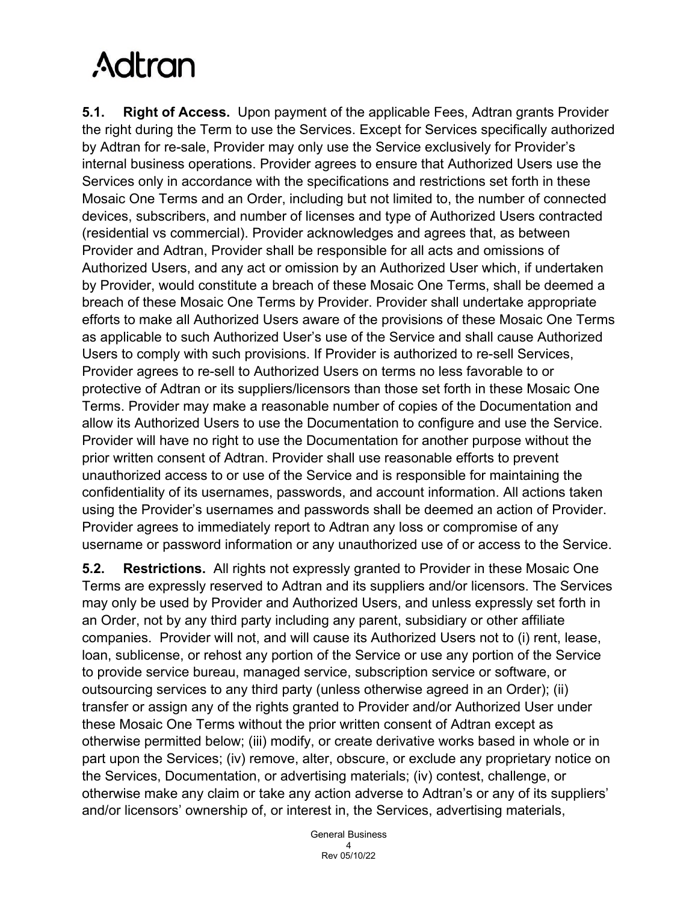**5.1. Right of Access.** Upon payment of the applicable Fees, Adtran grants Provider the right during the Term to use the Services. Except for Services specifically authorized by Adtran for re-sale, Provider may only use the Service exclusively for Provider's internal business operations. Provider agrees to ensure that Authorized Users use the Services only in accordance with the specifications and restrictions set forth in these Mosaic One Terms and an Order, including but not limited to, the number of connected devices, subscribers, and number of licenses and type of Authorized Users contracted (residential vs commercial). Provider acknowledges and agrees that, as between Provider and Adtran, Provider shall be responsible for all acts and omissions of Authorized Users, and any act or omission by an Authorized User which, if undertaken by Provider, would constitute a breach of these Mosaic One Terms, shall be deemed a breach of these Mosaic One Terms by Provider. Provider shall undertake appropriate efforts to make all Authorized Users aware of the provisions of these Mosaic One Terms as applicable to such Authorized User's use of the Service and shall cause Authorized Users to comply with such provisions. If Provider is authorized to re-sell Services, Provider agrees to re-sell to Authorized Users on terms no less favorable to or protective of Adtran or its suppliers/licensors than those set forth in these Mosaic One Terms. Provider may make a reasonable number of copies of the Documentation and allow its Authorized Users to use the Documentation to configure and use the Service. Provider will have no right to use the Documentation for another purpose without the prior written consent of Adtran. Provider shall use reasonable efforts to prevent unauthorized access to or use of the Service and is responsible for maintaining the confidentiality of its usernames, passwords, and account information. All actions taken using the Provider's usernames and passwords shall be deemed an action of Provider. Provider agrees to immediately report to Adtran any loss or compromise of any username or password information or any unauthorized use of or access to the Service.

**5.2. Restrictions.** All rights not expressly granted to Provider in these Mosaic One Terms are expressly reserved to Adtran and its suppliers and/or licensors. The Services may only be used by Provider and Authorized Users, and unless expressly set forth in an Order, not by any third party including any parent, subsidiary or other affiliate companies. Provider will not, and will cause its Authorized Users not to (i) rent, lease, loan, sublicense, or rehost any portion of the Service or use any portion of the Service to provide service bureau, managed service, subscription service or software, or outsourcing services to any third party (unless otherwise agreed in an Order); (ii) transfer or assign any of the rights granted to Provider and/or Authorized User under these Mosaic One Terms without the prior written consent of Adtran except as otherwise permitted below; (iii) modify, or create derivative works based in whole or in part upon the Services; (iv) remove, alter, obscure, or exclude any proprietary notice on the Services, Documentation, or advertising materials; (iv) contest, challenge, or otherwise make any claim or take any action adverse to Adtran's or any of its suppliers' and/or licensors' ownership of, or interest in, the Services, advertising materials,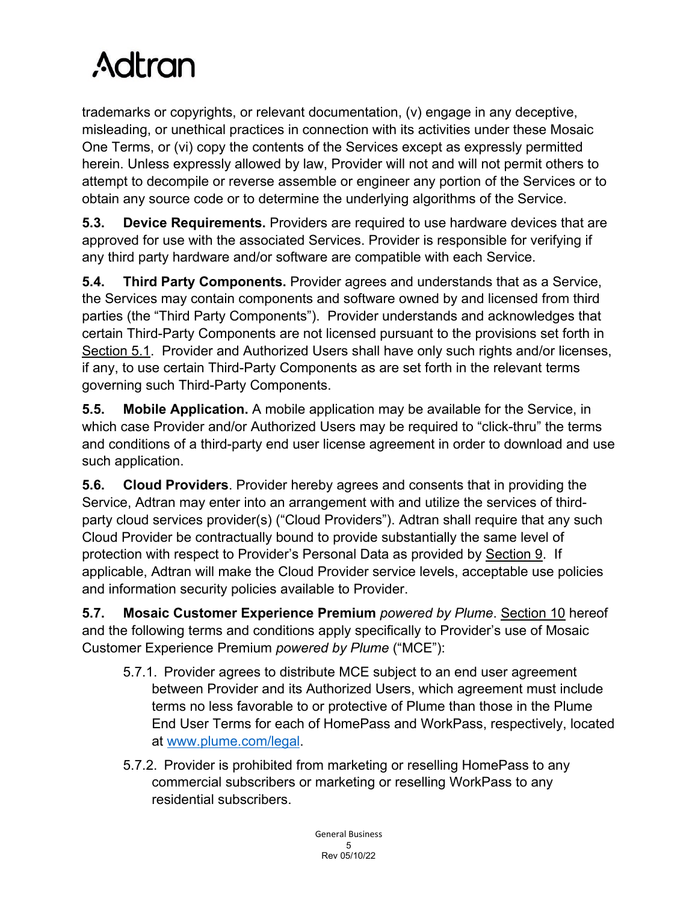trademarks or copyrights, or relevant documentation, (v) engage in any deceptive, misleading, or unethical practices in connection with its activities under these Mosaic One Terms, or (vi) copy the contents of the Services except as expressly permitted herein. Unless expressly allowed by law, Provider will not and will not permit others to attempt to decompile or reverse assemble or engineer any portion of the Services or to obtain any source code or to determine the underlying algorithms of the Service.

**5.3. Device Requirements.** Providers are required to use hardware devices that are approved for use with the associated Services. Provider is responsible for verifying if any third party hardware and/or software are compatible with each Service.

**5.4. Third Party Components.** Provider agrees and understands that as a Service, the Services may contain components and software owned by and licensed from third parties (the "Third Party Components"). Provider understands and acknowledges that certain Third-Party Components are not licensed pursuant to the provisions set forth in Section 5.1. Provider and Authorized Users shall have only such rights and/or licenses, if any, to use certain Third-Party Components as are set forth in the relevant terms governing such Third-Party Components.

**5.5. Mobile Application.** A mobile application may be available for the Service, in which case Provider and/or Authorized Users may be required to "click-thru" the terms and conditions of a third-party end user license agreement in order to download and use such application.

**5.6. Cloud Providers**. Provider hereby agrees and consents that in providing the Service, Adtran may enter into an arrangement with and utilize the services of thirdparty cloud services provider(s) ("Cloud Providers"). Adtran shall require that any such Cloud Provider be contractually bound to provide substantially the same level of protection with respect to Provider's Personal Data as provided by Section 9. If applicable, Adtran will make the Cloud Provider service levels, acceptable use policies and information security policies available to Provider.

**5.7. Mosaic Customer Experience Premium** *powered by Plume*. Section 10 hereof and the following terms and conditions apply specifically to Provider's use of Mosaic Customer Experience Premium *powered by Plume* ("MCE"):

- 5.7.1. Provider agrees to distribute MCE subject to an end user agreement between Provider and its Authorized Users, which agreement must include terms no less favorable to or protective of Plume than those in the Plume End User Terms for each of HomePass and WorkPass, respectively, located at [www.plume.com/legal.](http://www.plume.com/legal)
- 5.7.2. Provider is prohibited from marketing or reselling HomePass to any commercial subscribers or marketing or reselling WorkPass to any residential subscribers.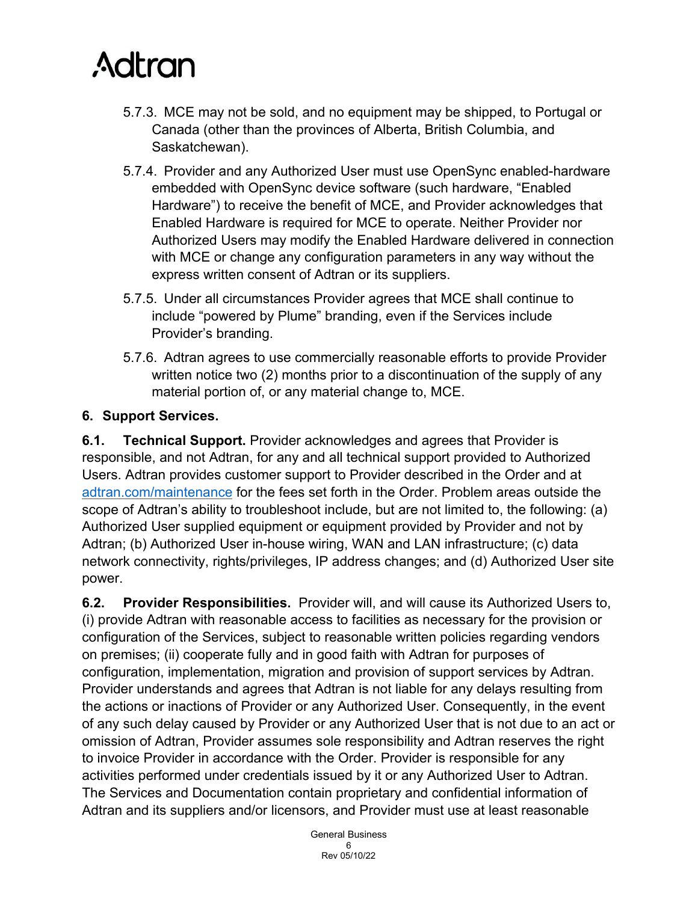- 5.7.3. MCE may not be sold, and no equipment may be shipped, to Portugal or Canada (other than the provinces of Alberta, British Columbia, and Saskatchewan).
- 5.7.4. Provider and any Authorized User must use OpenSync enabled-hardware embedded with OpenSync device software (such hardware, "Enabled Hardware") to receive the benefit of MCE, and Provider acknowledges that Enabled Hardware is required for MCE to operate. Neither Provider nor Authorized Users may modify the Enabled Hardware delivered in connection with MCE or change any configuration parameters in any way without the express written consent of Adtran or its suppliers.
- 5.7.5. Under all circumstances Provider agrees that MCE shall continue to include "powered by Plume" branding, even if the Services include Provider's branding.
- 5.7.6. Adtran agrees to use commercially reasonable efforts to provide Provider written notice two (2) months prior to a discontinuation of the supply of any material portion of, or any material change to, MCE.

# **6. Support Services.**

**6.1. Technical Support.** Provider acknowledges and agrees that Provider is responsible, and not Adtran, for any and all technical support provided to Authorized Users. Adtran provides customer support to Provider described in the Order and at [adtran.com/maintenance](https://adtran.com/maintenance) for the fees set forth in the Order. Problem areas outside the scope of Adtran's ability to troubleshoot include, but are not limited to, the following: (a) Authorized User supplied equipment or equipment provided by Provider and not by Adtran; (b) Authorized User in-house wiring, WAN and LAN infrastructure; (c) data network connectivity, rights/privileges, IP address changes; and (d) Authorized User site power.

**6.2. Provider Responsibilities.** Provider will, and will cause its Authorized Users to, (i) provide Adtran with reasonable access to facilities as necessary for the provision or configuration of the Services, subject to reasonable written policies regarding vendors on premises; (ii) cooperate fully and in good faith with Adtran for purposes of configuration, implementation, migration and provision of support services by Adtran. Provider understands and agrees that Adtran is not liable for any delays resulting from the actions or inactions of Provider or any Authorized User. Consequently, in the event of any such delay caused by Provider or any Authorized User that is not due to an act or omission of Adtran, Provider assumes sole responsibility and Adtran reserves the right to invoice Provider in accordance with the Order. Provider is responsible for any activities performed under credentials issued by it or any Authorized User to Adtran. The Services and Documentation contain proprietary and confidential information of Adtran and its suppliers and/or licensors, and Provider must use at least reasonable

> General Business 6 Rev 05/10/22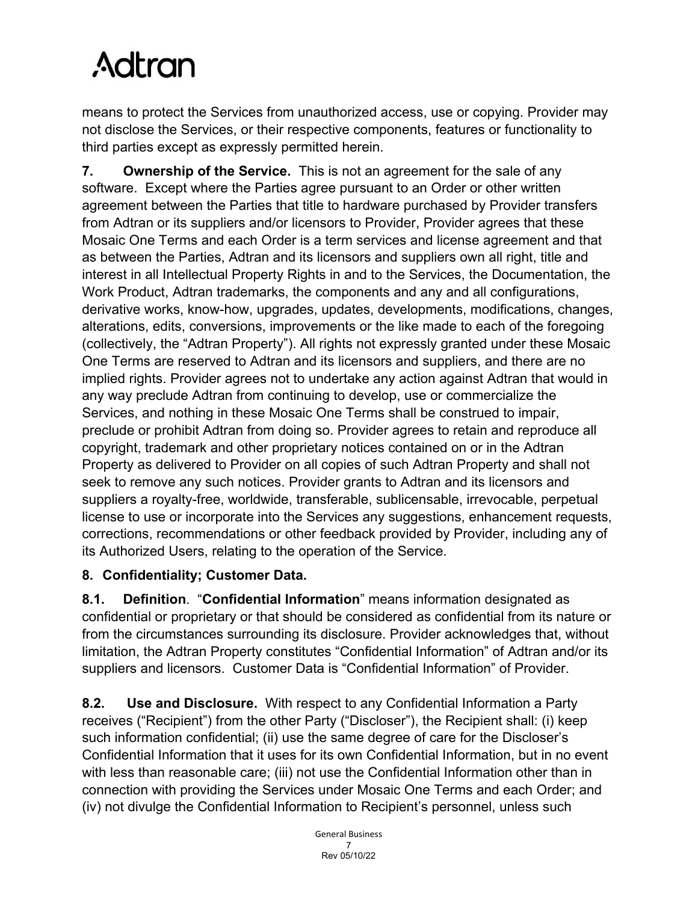means to protect the Services from unauthorized access, use or copying. Provider may not disclose the Services, or their respective components, features or functionality to third parties except as expressly permitted herein.

**7. Ownership of the Service.** This is not an agreement for the sale of any software. Except where the Parties agree pursuant to an Order or other written agreement between the Parties that title to hardware purchased by Provider transfers from Adtran or its suppliers and/or licensors to Provider, Provider agrees that these Mosaic One Terms and each Order is a term services and license agreement and that as between the Parties, Adtran and its licensors and suppliers own all right, title and interest in all Intellectual Property Rights in and to the Services, the Documentation, the Work Product, Adtran trademarks, the components and any and all configurations, derivative works, know-how, upgrades, updates, developments, modifications, changes, alterations, edits, conversions, improvements or the like made to each of the foregoing (collectively, the "Adtran Property"). All rights not expressly granted under these Mosaic One Terms are reserved to Adtran and its licensors and suppliers, and there are no implied rights. Provider agrees not to undertake any action against Adtran that would in any way preclude Adtran from continuing to develop, use or commercialize the Services, and nothing in these Mosaic One Terms shall be construed to impair, preclude or prohibit Adtran from doing so. Provider agrees to retain and reproduce all copyright, trademark and other proprietary notices contained on or in the Adtran Property as delivered to Provider on all copies of such Adtran Property and shall not seek to remove any such notices. Provider grants to Adtran and its licensors and suppliers a royalty-free, worldwide, transferable, sublicensable, irrevocable, perpetual license to use or incorporate into the Services any suggestions, enhancement requests, corrections, recommendations or other feedback provided by Provider, including any of its Authorized Users, relating to the operation of the Service.

# **8. Confidentiality; Customer Data.**

**8.1. Definition**. "**Confidential Information**" means information designated as confidential or proprietary or that should be considered as confidential from its nature or from the circumstances surrounding its disclosure. Provider acknowledges that, without limitation, the Adtran Property constitutes "Confidential Information" of Adtran and/or its suppliers and licensors. Customer Data is "Confidential Information" of Provider.

**8.2. Use and Disclosure.** With respect to any Confidential Information a Party receives ("Recipient") from the other Party ("Discloser"), the Recipient shall: (i) keep such information confidential; (ii) use the same degree of care for the Discloser's Confidential Information that it uses for its own Confidential Information, but in no event with less than reasonable care; (iii) not use the Confidential Information other than in connection with providing the Services under Mosaic One Terms and each Order; and (iv) not divulge the Confidential Information to Recipient's personnel, unless such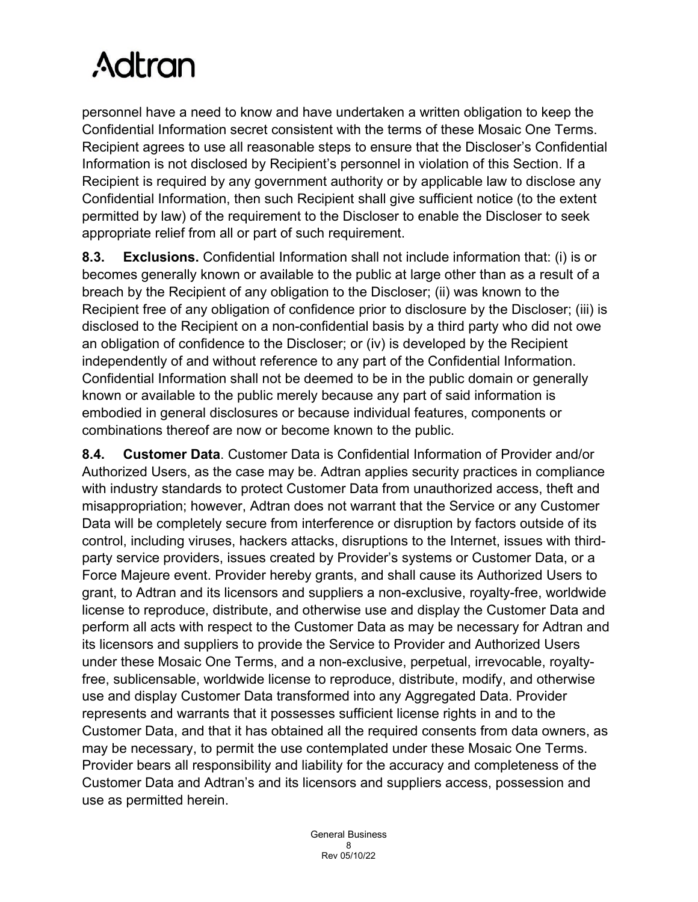personnel have a need to know and have undertaken a written obligation to keep the Confidential Information secret consistent with the terms of these Mosaic One Terms. Recipient agrees to use all reasonable steps to ensure that the Discloser's Confidential Information is not disclosed by Recipient's personnel in violation of this Section. If a Recipient is required by any government authority or by applicable law to disclose any Confidential Information, then such Recipient shall give sufficient notice (to the extent permitted by law) of the requirement to the Discloser to enable the Discloser to seek appropriate relief from all or part of such requirement.

**8.3. Exclusions.** Confidential Information shall not include information that: (i) is or becomes generally known or available to the public at large other than as a result of a breach by the Recipient of any obligation to the Discloser; (ii) was known to the Recipient free of any obligation of confidence prior to disclosure by the Discloser; (iii) is disclosed to the Recipient on a non-confidential basis by a third party who did not owe an obligation of confidence to the Discloser; or (iv) is developed by the Recipient independently of and without reference to any part of the Confidential Information. Confidential Information shall not be deemed to be in the public domain or generally known or available to the public merely because any part of said information is embodied in general disclosures or because individual features, components or combinations thereof are now or become known to the public.

**8.4. Customer Data**. Customer Data is Confidential Information of Provider and/or Authorized Users, as the case may be. Adtran applies security practices in compliance with industry standards to protect Customer Data from unauthorized access, theft and misappropriation; however, Adtran does not warrant that the Service or any Customer Data will be completely secure from interference or disruption by factors outside of its control, including viruses, hackers attacks, disruptions to the Internet, issues with thirdparty service providers, issues created by Provider's systems or Customer Data, or a Force Majeure event. Provider hereby grants, and shall cause its Authorized Users to grant, to Adtran and its licensors and suppliers a non-exclusive, royalty-free, worldwide license to reproduce, distribute, and otherwise use and display the Customer Data and perform all acts with respect to the Customer Data as may be necessary for Adtran and its licensors and suppliers to provide the Service to Provider and Authorized Users under these Mosaic One Terms, and a non-exclusive, perpetual, irrevocable, royaltyfree, sublicensable, worldwide license to reproduce, distribute, modify, and otherwise use and display Customer Data transformed into any Aggregated Data. Provider represents and warrants that it possesses sufficient license rights in and to the Customer Data, and that it has obtained all the required consents from data owners, as may be necessary, to permit the use contemplated under these Mosaic One Terms. Provider bears all responsibility and liability for the accuracy and completeness of the Customer Data and Adtran's and its licensors and suppliers access, possession and use as permitted herein.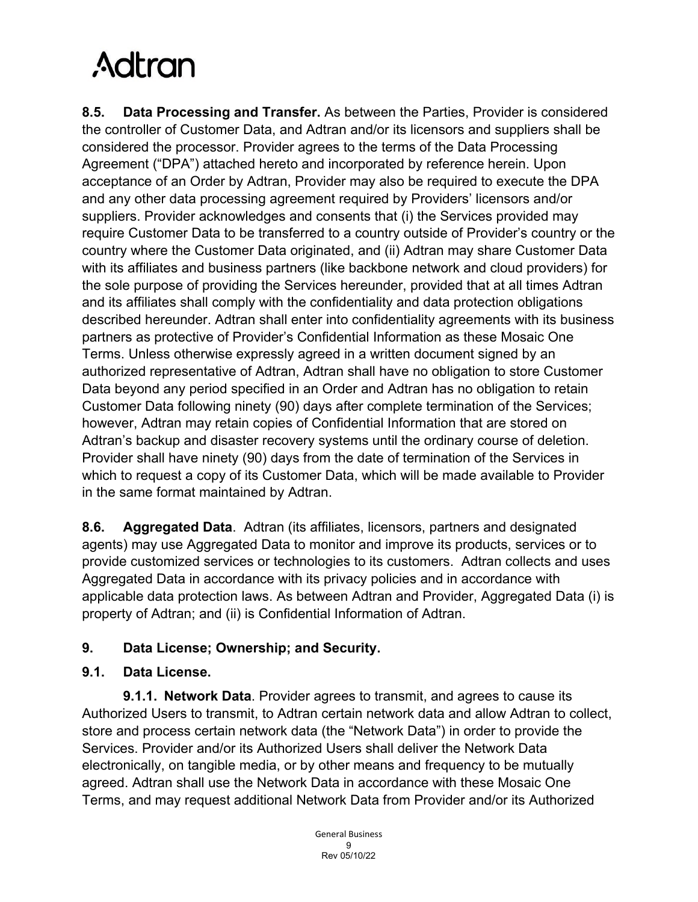**8.5. Data Processing and Transfer.** As between the Parties, Provider is considered the controller of Customer Data, and Adtran and/or its licensors and suppliers shall be considered the processor. Provider agrees to the terms of the Data Processing Agreement ("DPA") attached hereto and incorporated by reference herein. Upon acceptance of an Order by Adtran, Provider may also be required to execute the DPA and any other data processing agreement required by Providers' licensors and/or suppliers. Provider acknowledges and consents that (i) the Services provided may require Customer Data to be transferred to a country outside of Provider's country or the country where the Customer Data originated, and (ii) Adtran may share Customer Data with its affiliates and business partners (like backbone network and cloud providers) for the sole purpose of providing the Services hereunder, provided that at all times Adtran and its affiliates shall comply with the confidentiality and data protection obligations described hereunder. Adtran shall enter into confidentiality agreements with its business partners as protective of Provider's Confidential Information as these Mosaic One Terms. Unless otherwise expressly agreed in a written document signed by an authorized representative of Adtran, Adtran shall have no obligation to store Customer Data beyond any period specified in an Order and Adtran has no obligation to retain Customer Data following ninety (90) days after complete termination of the Services; however, Adtran may retain copies of Confidential Information that are stored on Adtran's backup and disaster recovery systems until the ordinary course of deletion. Provider shall have ninety (90) days from the date of termination of the Services in which to request a copy of its Customer Data, which will be made available to Provider in the same format maintained by Adtran.

**8.6. Aggregated Data**. Adtran (its affiliates, licensors, partners and designated agents) may use Aggregated Data to monitor and improve its products, services or to provide customized services or technologies to its customers. Adtran collects and uses Aggregated Data in accordance with its privacy policies and in accordance with applicable data protection laws. As between Adtran and Provider, Aggregated Data (i) is property of Adtran; and (ii) is Confidential Information of Adtran.

# **9. Data License; Ownership; and Security.**

# **9.1. Data License.**

**9.1.1. Network Data**. Provider agrees to transmit, and agrees to cause its Authorized Users to transmit, to Adtran certain network data and allow Adtran to collect, store and process certain network data (the "Network Data") in order to provide the Services. Provider and/or its Authorized Users shall deliver the Network Data electronically, on tangible media, or by other means and frequency to be mutually agreed. Adtran shall use the Network Data in accordance with these Mosaic One Terms, and may request additional Network Data from Provider and/or its Authorized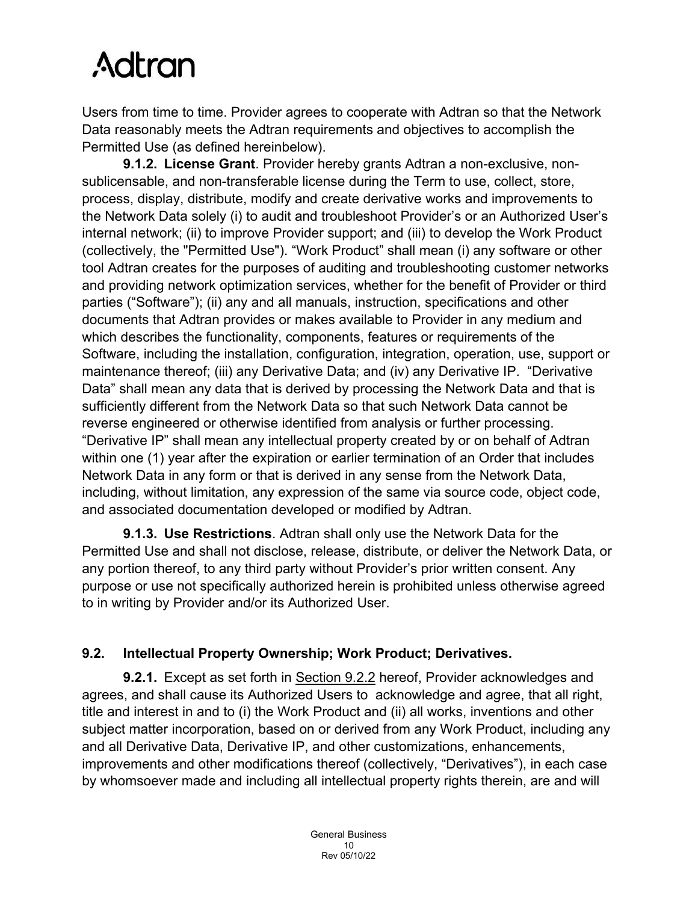Users from time to time. Provider agrees to cooperate with Adtran so that the Network Data reasonably meets the Adtran requirements and objectives to accomplish the Permitted Use (as defined hereinbelow).

**9.1.2. License Grant**. Provider hereby grants Adtran a non-exclusive, nonsublicensable, and non-transferable license during the Term to use, collect, store, process, display, distribute, modify and create derivative works and improvements to the Network Data solely (i) to audit and troubleshoot Provider's or an Authorized User's internal network; (ii) to improve Provider support; and (iii) to develop the Work Product (collectively, the "Permitted Use"). "Work Product" shall mean (i) any software or other tool Adtran creates for the purposes of auditing and troubleshooting customer networks and providing network optimization services, whether for the benefit of Provider or third parties ("Software"); (ii) any and all manuals, instruction, specifications and other documents that Adtran provides or makes available to Provider in any medium and which describes the functionality, components, features or requirements of the Software, including the installation, configuration, integration, operation, use, support or maintenance thereof; (iii) any Derivative Data; and (iv) any Derivative IP. "Derivative Data" shall mean any data that is derived by processing the Network Data and that is sufficiently different from the Network Data so that such Network Data cannot be reverse engineered or otherwise identified from analysis or further processing. "Derivative IP" shall mean any intellectual property created by or on behalf of Adtran within one (1) year after the expiration or earlier termination of an Order that includes Network Data in any form or that is derived in any sense from the Network Data, including, without limitation, any expression of the same via source code, object code, and associated documentation developed or modified by Adtran.

**9.1.3. Use Restrictions**. Adtran shall only use the Network Data for the Permitted Use and shall not disclose, release, distribute, or deliver the Network Data, or any portion thereof, to any third party without Provider's prior written consent. Any purpose or use not specifically authorized herein is prohibited unless otherwise agreed to in writing by Provider and/or its Authorized User.

# **9.2. Intellectual Property Ownership; Work Product; Derivatives.**

**9.2.1.** Except as set forth in Section 9.2.2 hereof, Provider acknowledges and agrees, and shall cause its Authorized Users to acknowledge and agree, that all right, title and interest in and to (i) the Work Product and (ii) all works, inventions and other subject matter incorporation, based on or derived from any Work Product, including any and all Derivative Data, Derivative IP, and other customizations, enhancements, improvements and other modifications thereof (collectively, "Derivatives"), in each case by whomsoever made and including all intellectual property rights therein, are and will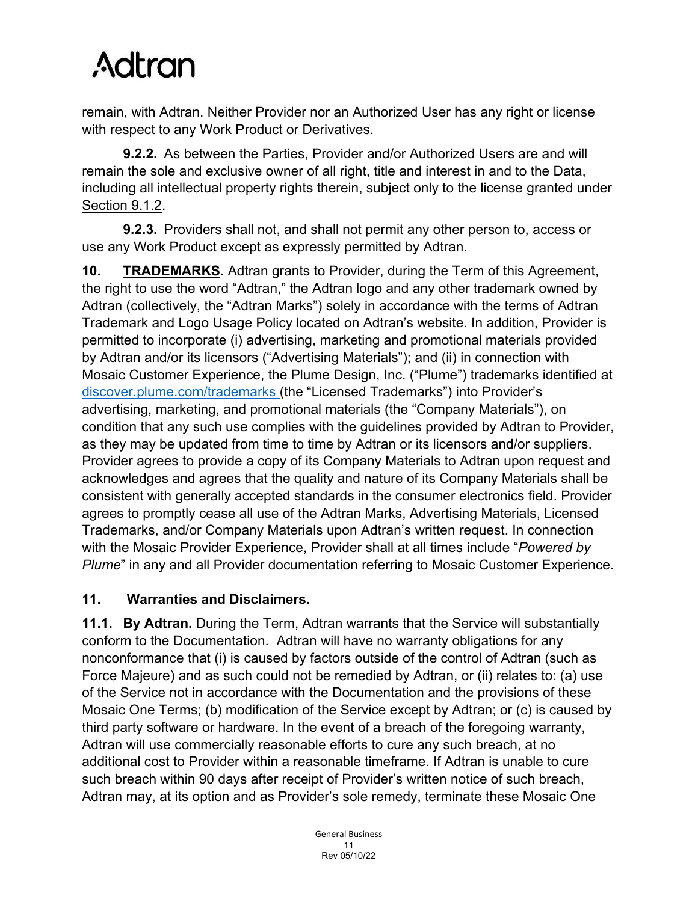remain, with Adtran. Neither Provider nor an Authorized User has any right or license with respect to any Work Product or Derivatives.

**9.2.2.** As between the Parties, Provider and/or Authorized Users are and will remain the sole and exclusive owner of all right, title and interest in and to the Data, including all intellectual property rights therein, subject only to the license granted under Section 9.1.2.

**9.2.3.** Providers shall not, and shall not permit any other person to, access or use any Work Product except as expressly permitted by Adtran.

**10. TRADEMARKS.** Adtran grants to Provider, during the Term of this Agreement, the right to use the word "Adtran," the Adtran logo and any other trademark owned by Adtran (collectively, the "Adtran Marks") solely in accordance with the terms of Adtran Trademark and Logo Usage Policy located on Adtran's website. In addition, Provider is permitted to incorporate (i) advertising, marketing and promotional materials provided by Adtran and/or its licensors ("Advertising Materials"); and (ii) in connection with Mosaic Customer Experience, the Plume Design, Inc. ("Plume") trademarks identified at [discover.plume.com/trademarks](https://discover.plume.com/trademarks) (the "Licensed Trademarks") into Provider's advertising, marketing, and promotional materials (the "Company Materials"), on condition that any such use complies with the guidelines provided by Adtran to Provider, as they may be updated from time to time by Adtran or its licensors and/or suppliers. Provider agrees to provide a copy of its Company Materials to Adtran upon request and acknowledges and agrees that the quality and nature of its Company Materials shall be consistent with generally accepted standards in the consumer electronics field. Provider agrees to promptly cease all use of the Adtran Marks, Advertising Materials, Licensed Trademarks, and/or Company Materials upon Adtran's written request. In connection with the Mosaic Provider Experience, Provider shall at all times include "*Powered by Plume*" in any and all Provider documentation referring to Mosaic Customer Experience.

# **11. Warranties and Disclaimers.**

**11.1. By Adtran.** During the Term, Adtran warrants that the Service will substantially conform to the Documentation. Adtran will have no warranty obligations for any nonconformance that (i) is caused by factors outside of the control of Adtran (such as Force Majeure) and as such could not be remedied by Adtran, or (ii) relates to: (a) use of the Service not in accordance with the Documentation and the provisions of these Mosaic One Terms; (b) modification of the Service except by Adtran; or (c) is caused by third party software or hardware. In the event of a breach of the foregoing warranty, Adtran will use commercially reasonable efforts to cure any such breach, at no additional cost to Provider within a reasonable timeframe. If Adtran is unable to cure such breach within 90 days after receipt of Provider's written notice of such breach, Adtran may, at its option and as Provider's sole remedy, terminate these Mosaic One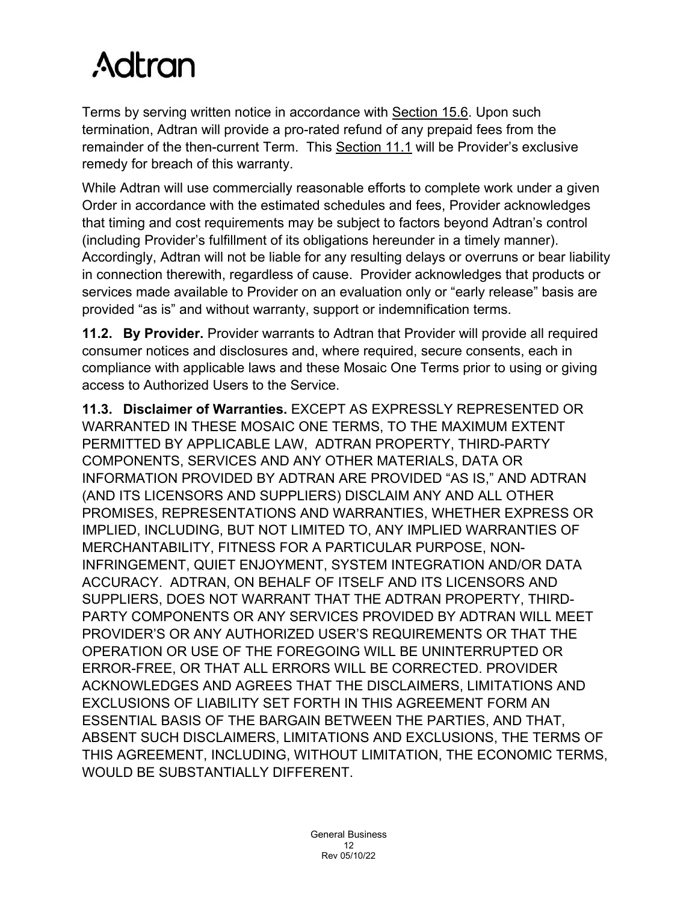Terms by serving written notice in accordance with Section 15.6. Upon such termination, Adtran will provide a pro-rated refund of any prepaid fees from the remainder of the then-current Term. This Section 11.1 will be Provider's exclusive remedy for breach of this warranty.

While Adtran will use commercially reasonable efforts to complete work under a given Order in accordance with the estimated schedules and fees, Provider acknowledges that timing and cost requirements may be subject to factors beyond Adtran's control (including Provider's fulfillment of its obligations hereunder in a timely manner). Accordingly, Adtran will not be liable for any resulting delays or overruns or bear liability in connection therewith, regardless of cause. Provider acknowledges that products or services made available to Provider on an evaluation only or "early release" basis are provided "as is" and without warranty, support or indemnification terms.

**11.2. By Provider.** Provider warrants to Adtran that Provider will provide all required consumer notices and disclosures and, where required, secure consents, each in compliance with applicable laws and these Mosaic One Terms prior to using or giving access to Authorized Users to the Service.

**11.3. Disclaimer of Warranties.** EXCEPT AS EXPRESSLY REPRESENTED OR WARRANTED IN THESE MOSAIC ONE TERMS, TO THE MAXIMUM EXTENT PERMITTED BY APPLICABLE LAW, ADTRAN PROPERTY, THIRD-PARTY COMPONENTS, SERVICES AND ANY OTHER MATERIALS, DATA OR INFORMATION PROVIDED BY ADTRAN ARE PROVIDED "AS IS," AND ADTRAN (AND ITS LICENSORS AND SUPPLIERS) DISCLAIM ANY AND ALL OTHER PROMISES, REPRESENTATIONS AND WARRANTIES, WHETHER EXPRESS OR IMPLIED, INCLUDING, BUT NOT LIMITED TO, ANY IMPLIED WARRANTIES OF MERCHANTABILITY, FITNESS FOR A PARTICULAR PURPOSE, NON-INFRINGEMENT, QUIET ENJOYMENT, SYSTEM INTEGRATION AND/OR DATA ACCURACY. ADTRAN, ON BEHALF OF ITSELF AND ITS LICENSORS AND SUPPLIERS, DOES NOT WARRANT THAT THE ADTRAN PROPERTY, THIRD-PARTY COMPONENTS OR ANY SERVICES PROVIDED BY ADTRAN WILL MEET PROVIDER'S OR ANY AUTHORIZED USER'S REQUIREMENTS OR THAT THE OPERATION OR USE OF THE FOREGOING WILL BE UNINTERRUPTED OR ERROR-FREE, OR THAT ALL ERRORS WILL BE CORRECTED. PROVIDER ACKNOWLEDGES AND AGREES THAT THE DISCLAIMERS, LIMITATIONS AND EXCLUSIONS OF LIABILITY SET FORTH IN THIS AGREEMENT FORM AN ESSENTIAL BASIS OF THE BARGAIN BETWEEN THE PARTIES, AND THAT, ABSENT SUCH DISCLAIMERS, LIMITATIONS AND EXCLUSIONS, THE TERMS OF THIS AGREEMENT, INCLUDING, WITHOUT LIMITATION, THE ECONOMIC TERMS, WOULD BE SUBSTANTIALLY DIFFERENT.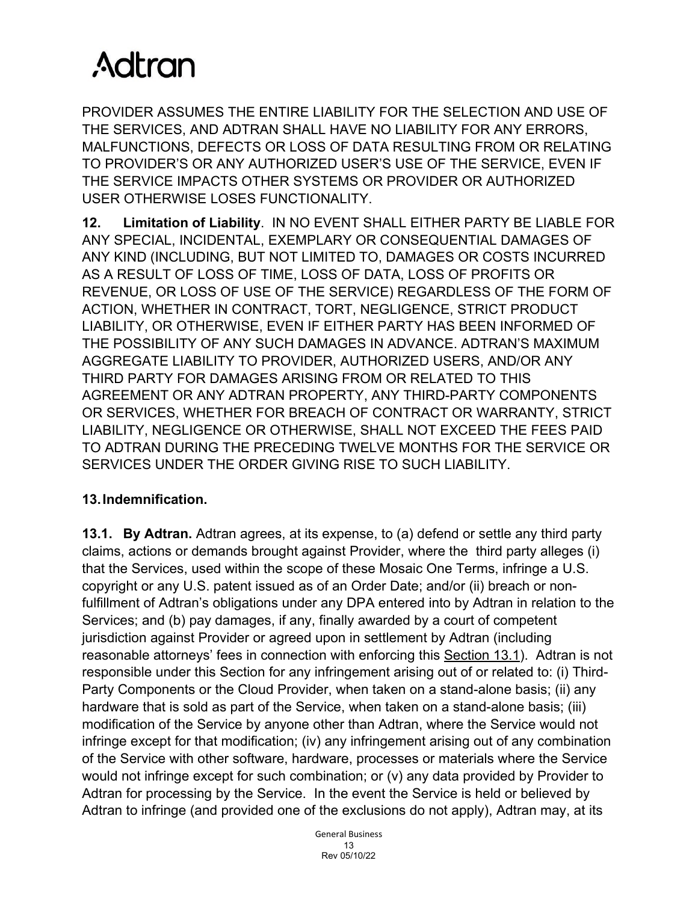PROVIDER ASSUMES THE ENTIRE LIABILITY FOR THE SELECTION AND USE OF THE SERVICES, AND ADTRAN SHALL HAVE NO LIABILITY FOR ANY ERRORS, MALFUNCTIONS, DEFECTS OR LOSS OF DATA RESULTING FROM OR RELATING TO PROVIDER'S OR ANY AUTHORIZED USER'S USE OF THE SERVICE, EVEN IF THE SERVICE IMPACTS OTHER SYSTEMS OR PROVIDER OR AUTHORIZED USER OTHERWISE LOSES FUNCTIONALITY.

**12. Limitation of Liability**. IN NO EVENT SHALL EITHER PARTY BE LIABLE FOR ANY SPECIAL, INCIDENTAL, EXEMPLARY OR CONSEQUENTIAL DAMAGES OF ANY KIND (INCLUDING, BUT NOT LIMITED TO, DAMAGES OR COSTS INCURRED AS A RESULT OF LOSS OF TIME, LOSS OF DATA, LOSS OF PROFITS OR REVENUE, OR LOSS OF USE OF THE SERVICE) REGARDLESS OF THE FORM OF ACTION, WHETHER IN CONTRACT, TORT, NEGLIGENCE, STRICT PRODUCT LIABILITY, OR OTHERWISE, EVEN IF EITHER PARTY HAS BEEN INFORMED OF THE POSSIBILITY OF ANY SUCH DAMAGES IN ADVANCE. ADTRAN'S MAXIMUM AGGREGATE LIABILITY TO PROVIDER, AUTHORIZED USERS, AND/OR ANY THIRD PARTY FOR DAMAGES ARISING FROM OR RELATED TO THIS AGREEMENT OR ANY ADTRAN PROPERTY, ANY THIRD-PARTY COMPONENTS OR SERVICES, WHETHER FOR BREACH OF CONTRACT OR WARRANTY, STRICT LIABILITY, NEGLIGENCE OR OTHERWISE, SHALL NOT EXCEED THE FEES PAID TO ADTRAN DURING THE PRECEDING TWELVE MONTHS FOR THE SERVICE OR SERVICES UNDER THE ORDER GIVING RISE TO SUCH LIABILITY.

# **13.Indemnification.**

**13.1. By Adtran.** Adtran agrees, at its expense, to (a) defend or settle any third party claims, actions or demands brought against Provider, where the third party alleges (i) that the Services, used within the scope of these Mosaic One Terms, infringe a U.S. copyright or any U.S. patent issued as of an Order Date; and/or (ii) breach or nonfulfillment of Adtran's obligations under any DPA entered into by Adtran in relation to the Services; and (b) pay damages, if any, finally awarded by a court of competent jurisdiction against Provider or agreed upon in settlement by Adtran (including reasonable attorneys' fees in connection with enforcing this Section 13.1). Adtran is not responsible under this Section for any infringement arising out of or related to: (i) Third-Party Components or the Cloud Provider, when taken on a stand-alone basis; (ii) any hardware that is sold as part of the Service, when taken on a stand-alone basis; (iii) modification of the Service by anyone other than Adtran, where the Service would not infringe except for that modification; (iv) any infringement arising out of any combination of the Service with other software, hardware, processes or materials where the Service would not infringe except for such combination; or (v) any data provided by Provider to Adtran for processing by the Service. In the event the Service is held or believed by Adtran to infringe (and provided one of the exclusions do not apply), Adtran may, at its

> General Business 13 Rev 05/10/22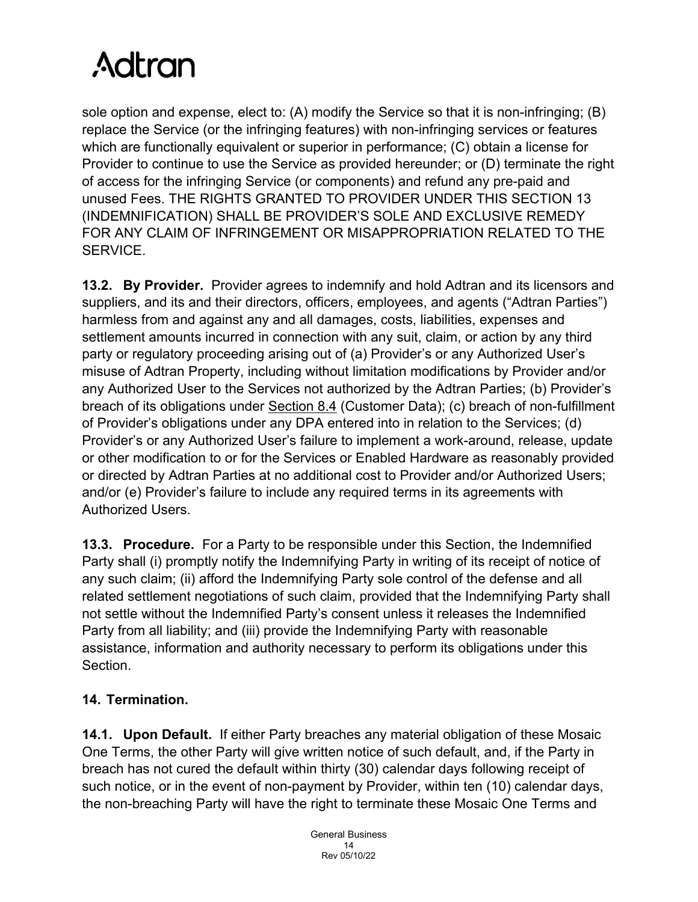sole option and expense, elect to: (A) modify the Service so that it is non-infringing; (B) replace the Service (or the infringing features) with non-infringing services or features which are functionally equivalent or superior in performance; (C) obtain a license for Provider to continue to use the Service as provided hereunder; or (D) terminate the right of access for the infringing Service (or components) and refund any pre-paid and unused Fees. THE RIGHTS GRANTED TO PROVIDER UNDER THIS SECTION 13 (INDEMNIFICATION) SHALL BE PROVIDER'S SOLE AND EXCLUSIVE REMEDY FOR ANY CLAIM OF INFRINGEMENT OR MISAPPROPRIATION RELATED TO THE SERVICE.

**13.2. By Provider.** Provider agrees to indemnify and hold Adtran and its licensors and suppliers, and its and their directors, officers, employees, and agents ("Adtran Parties") harmless from and against any and all damages, costs, liabilities, expenses and settlement amounts incurred in connection with any suit, claim, or action by any third party or regulatory proceeding arising out of (a) Provider's or any Authorized User's misuse of Adtran Property, including without limitation modifications by Provider and/or any Authorized User to the Services not authorized by the Adtran Parties; (b) Provider's breach of its obligations under Section 8.4 (Customer Data); (c) breach of non-fulfillment of Provider's obligations under any DPA entered into in relation to the Services; (d) Provider's or any Authorized User's failure to implement a work-around, release, update or other modification to or for the Services or Enabled Hardware as reasonably provided or directed by Adtran Parties at no additional cost to Provider and/or Authorized Users; and/or (e) Provider's failure to include any required terms in its agreements with Authorized Users.

**13.3. Procedure.** For a Party to be responsible under this Section, the Indemnified Party shall (i) promptly notify the Indemnifying Party in writing of its receipt of notice of any such claim; (ii) afford the Indemnifying Party sole control of the defense and all related settlement negotiations of such claim, provided that the Indemnifying Party shall not settle without the Indemnified Party's consent unless it releases the Indemnified Party from all liability; and (iii) provide the Indemnifying Party with reasonable assistance, information and authority necessary to perform its obligations under this Section.

# **14. Termination.**

**14.1. Upon Default.** If either Party breaches any material obligation of these Mosaic One Terms, the other Party will give written notice of such default, and, if the Party in breach has not cured the default within thirty (30) calendar days following receipt of such notice, or in the event of non-payment by Provider, within ten (10) calendar days, the non-breaching Party will have the right to terminate these Mosaic One Terms and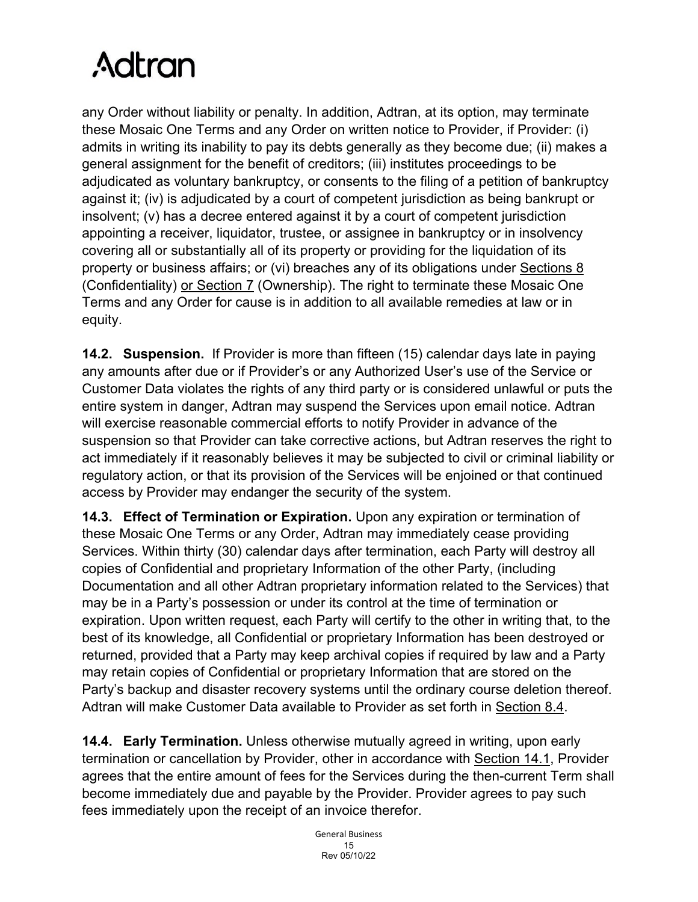any Order without liability or penalty. In addition, Adtran, at its option, may terminate these Mosaic One Terms and any Order on written notice to Provider, if Provider: (i) admits in writing its inability to pay its debts generally as they become due; (ii) makes a general assignment for the benefit of creditors; (iii) institutes proceedings to be adjudicated as voluntary bankruptcy, or consents to the filing of a petition of bankruptcy against it; (iv) is adjudicated by a court of competent jurisdiction as being bankrupt or insolvent; (v) has a decree entered against it by a court of competent jurisdiction appointing a receiver, liquidator, trustee, or assignee in bankruptcy or in insolvency covering all or substantially all of its property or providing for the liquidation of its property or business affairs; or (vi) breaches any of its obligations under Sections 8 (Confidentiality) or Section 7 (Ownership). The right to terminate these Mosaic One Terms and any Order for cause is in addition to all available remedies at law or in equity.

**14.2. Suspension.** If Provider is more than fifteen (15) calendar days late in paying any amounts after due or if Provider's or any Authorized User's use of the Service or Customer Data violates the rights of any third party or is considered unlawful or puts the entire system in danger, Adtran may suspend the Services upon email notice. Adtran will exercise reasonable commercial efforts to notify Provider in advance of the suspension so that Provider can take corrective actions, but Adtran reserves the right to act immediately if it reasonably believes it may be subjected to civil or criminal liability or regulatory action, or that its provision of the Services will be enjoined or that continued access by Provider may endanger the security of the system.

**14.3. Effect of Termination or Expiration.** Upon any expiration or termination of these Mosaic One Terms or any Order, Adtran may immediately cease providing Services. Within thirty (30) calendar days after termination, each Party will destroy all copies of Confidential and proprietary Information of the other Party, (including Documentation and all other Adtran proprietary information related to the Services) that may be in a Party's possession or under its control at the time of termination or expiration. Upon written request, each Party will certify to the other in writing that, to the best of its knowledge, all Confidential or proprietary Information has been destroyed or returned, provided that a Party may keep archival copies if required by law and a Party may retain copies of Confidential or proprietary Information that are stored on the Party's backup and disaster recovery systems until the ordinary course deletion thereof. Adtran will make Customer Data available to Provider as set forth in Section 8.4.

**14.4. Early Termination.** Unless otherwise mutually agreed in writing, upon early termination or cancellation by Provider, other in accordance with Section 14.1, Provider agrees that the entire amount of fees for the Services during the then-current Term shall become immediately due and payable by the Provider. Provider agrees to pay such fees immediately upon the receipt of an invoice therefor.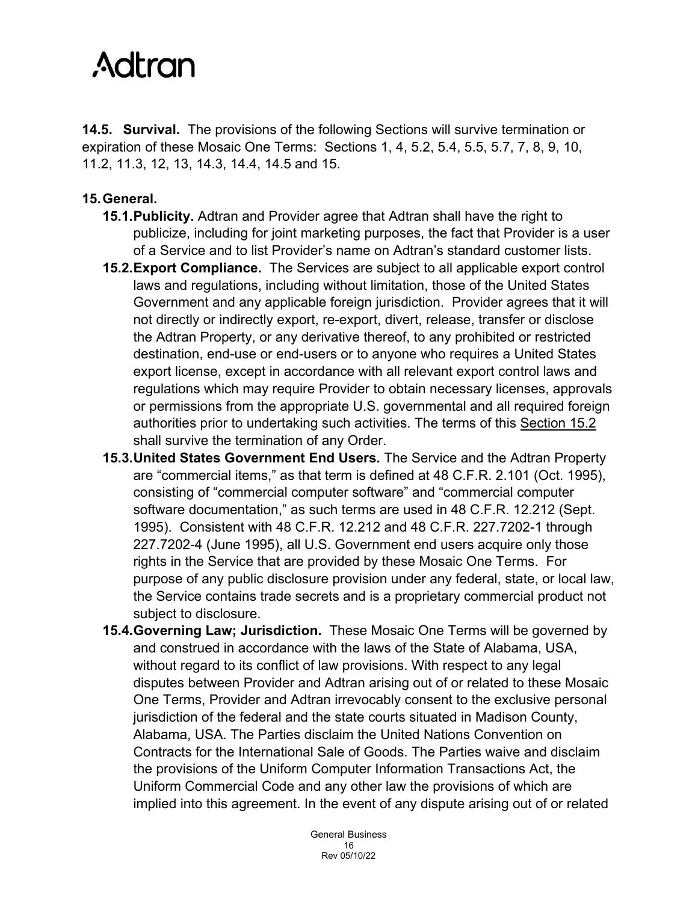**14.5. Survival.** The provisions of the following Sections will survive termination or expiration of these Mosaic One Terms: Sections 1, 4, 5.2, 5.4, 5.5, 5.7, 7, 8, 9, 10, 11.2, 11.3, 12, 13, 14.3, 14.4, 14.5 and 15.

### **15.General.**

- **15.1.Publicity.** Adtran and Provider agree that Adtran shall have the right to publicize, including for joint marketing purposes, the fact that Provider is a user of a Service and to list Provider's name on Adtran's standard customer lists.
- **15.2.Export Compliance.** The Services are subject to all applicable export control laws and regulations, including without limitation, those of the United States Government and any applicable foreign jurisdiction. Provider agrees that it will not directly or indirectly export, re-export, divert, release, transfer or disclose the Adtran Property, or any derivative thereof, to any prohibited or restricted destination, end-use or end-users or to anyone who requires a United States export license, except in accordance with all relevant export control laws and regulations which may require Provider to obtain necessary licenses, approvals or permissions from the appropriate U.S. governmental and all required foreign authorities prior to undertaking such activities. The terms of this Section 15.2 shall survive the termination of any Order.
- **15.3.United States Government End Users.** The Service and the Adtran Property are "commercial items," as that term is defined at 48 C.F.R. 2.101 (Oct. 1995), consisting of "commercial computer software" and "commercial computer software documentation," as such terms are used in 48 C.F.R. 12.212 (Sept. 1995). Consistent with 48 C.F.R. 12.212 and 48 C.F.R. 227.7202-1 through 227.7202-4 (June 1995), all U.S. Government end users acquire only those rights in the Service that are provided by these Mosaic One Terms. For purpose of any public disclosure provision under any federal, state, or local law, the Service contains trade secrets and is a proprietary commercial product not subject to disclosure.
- **15.4.Governing Law; Jurisdiction.** These Mosaic One Terms will be governed by and construed in accordance with the laws of the State of Alabama, USA, without regard to its conflict of law provisions. With respect to any legal disputes between Provider and Adtran arising out of or related to these Mosaic One Terms, Provider and Adtran irrevocably consent to the exclusive personal jurisdiction of the federal and the state courts situated in Madison County, Alabama, USA. The Parties disclaim the United Nations Convention on Contracts for the International Sale of Goods. The Parties waive and disclaim the provisions of the Uniform Computer Information Transactions Act, the Uniform Commercial Code and any other law the provisions of which are implied into this agreement. In the event of any dispute arising out of or related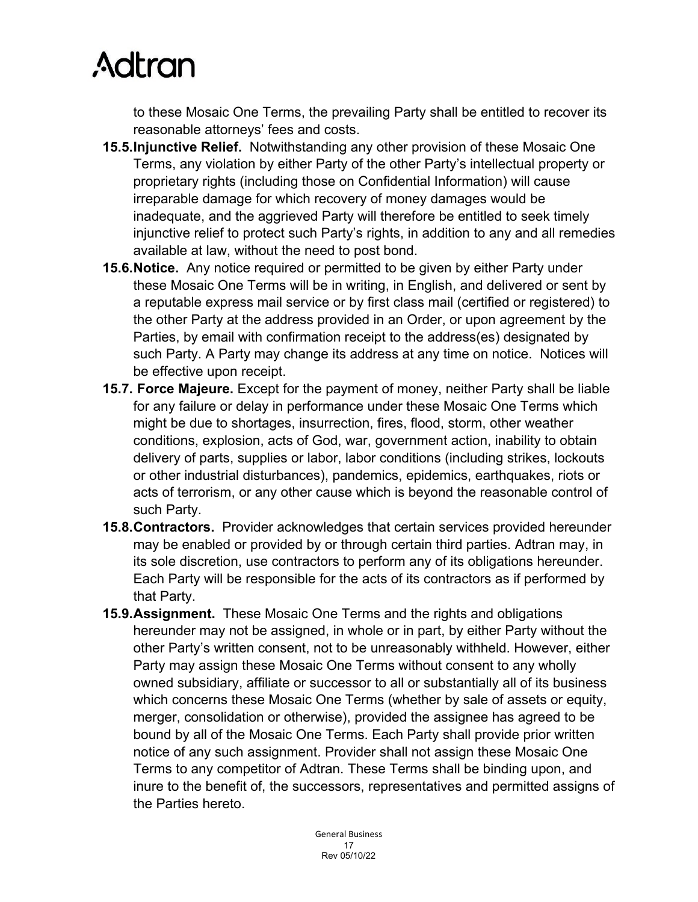to these Mosaic One Terms, the prevailing Party shall be entitled to recover its reasonable attorneys' fees and costs.

- **15.5.Injunctive Relief.** Notwithstanding any other provision of these Mosaic One Terms, any violation by either Party of the other Party's intellectual property or proprietary rights (including those on Confidential Information) will cause irreparable damage for which recovery of money damages would be inadequate, and the aggrieved Party will therefore be entitled to seek timely injunctive relief to protect such Party's rights, in addition to any and all remedies available at law, without the need to post bond.
- **15.6.Notice.** Any notice required or permitted to be given by either Party under these Mosaic One Terms will be in writing, in English, and delivered or sent by a reputable express mail service or by first class mail (certified or registered) to the other Party at the address provided in an Order, or upon agreement by the Parties, by email with confirmation receipt to the address(es) designated by such Party. A Party may change its address at any time on notice. Notices will be effective upon receipt.
- **15.7. Force Majeure.** Except for the payment of money, neither Party shall be liable for any failure or delay in performance under these Mosaic One Terms which might be due to shortages, insurrection, fires, flood, storm, other weather conditions, explosion, acts of God, war, government action, inability to obtain delivery of parts, supplies or labor, labor conditions (including strikes, lockouts or other industrial disturbances), pandemics, epidemics, earthquakes, riots or acts of terrorism, or any other cause which is beyond the reasonable control of such Party.
- **15.8.Contractors.** Provider acknowledges that certain services provided hereunder may be enabled or provided by or through certain third parties. Adtran may, in its sole discretion, use contractors to perform any of its obligations hereunder. Each Party will be responsible for the acts of its contractors as if performed by that Party.
- **15.9.Assignment.** These Mosaic One Terms and the rights and obligations hereunder may not be assigned, in whole or in part, by either Party without the other Party's written consent, not to be unreasonably withheld. However, either Party may assign these Mosaic One Terms without consent to any wholly owned subsidiary, affiliate or successor to all or substantially all of its business which concerns these Mosaic One Terms (whether by sale of assets or equity, merger, consolidation or otherwise), provided the assignee has agreed to be bound by all of the Mosaic One Terms. Each Party shall provide prior written notice of any such assignment. Provider shall not assign these Mosaic One Terms to any competitor of Adtran. These Terms shall be binding upon, and inure to the benefit of, the successors, representatives and permitted assigns of the Parties hereto.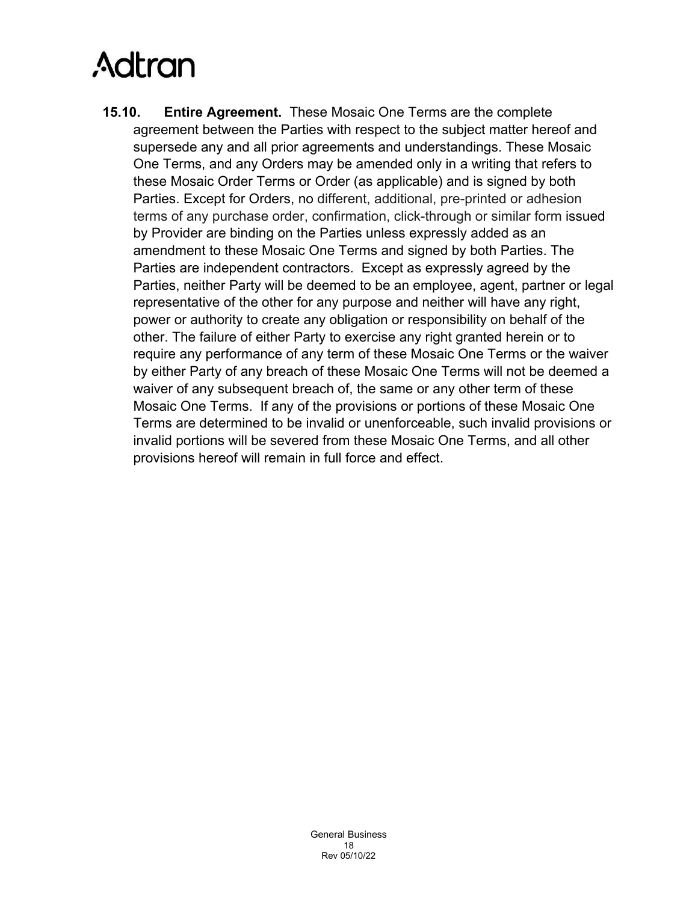**15.10. Entire Agreement.** These Mosaic One Terms are the complete agreement between the Parties with respect to the subject matter hereof and supersede any and all prior agreements and understandings. These Mosaic One Terms, and any Orders may be amended only in a writing that refers to these Mosaic Order Terms or Order (as applicable) and is signed by both Parties. Except for Orders, no different, additional, pre-printed or adhesion terms of any purchase order, confirmation, click-through or similar form issued by Provider are binding on the Parties unless expressly added as an amendment to these Mosaic One Terms and signed by both Parties. The Parties are independent contractors. Except as expressly agreed by the Parties, neither Party will be deemed to be an employee, agent, partner or legal representative of the other for any purpose and neither will have any right, power or authority to create any obligation or responsibility on behalf of the other. The failure of either Party to exercise any right granted herein or to require any performance of any term of these Mosaic One Terms or the waiver by either Party of any breach of these Mosaic One Terms will not be deemed a waiver of any subsequent breach of, the same or any other term of these Mosaic One Terms. If any of the provisions or portions of these Mosaic One Terms are determined to be invalid or unenforceable, such invalid provisions or invalid portions will be severed from these Mosaic One Terms, and all other provisions hereof will remain in full force and effect.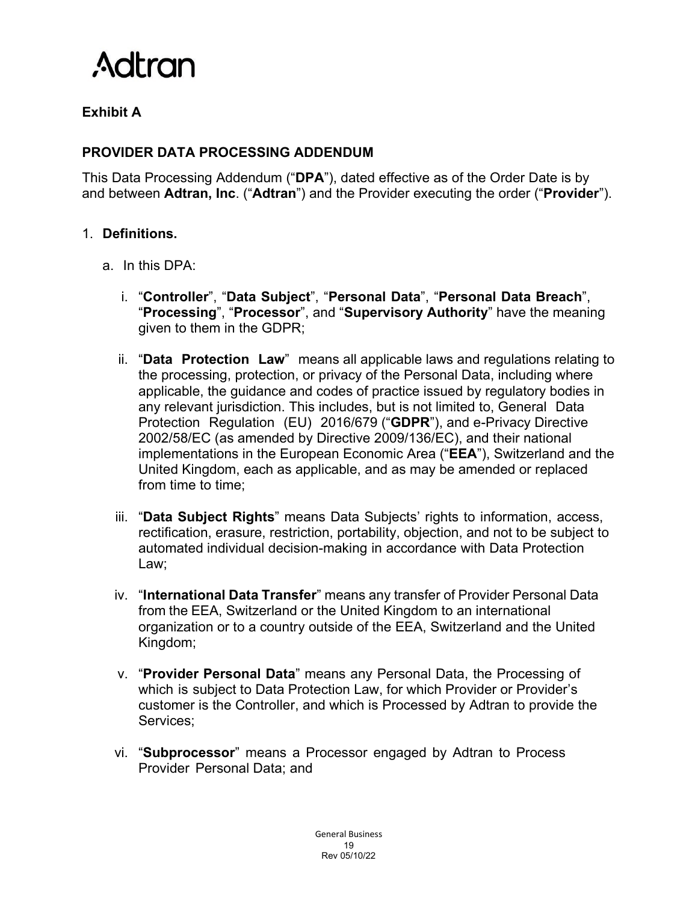

# **Exhibit A**

### **PROVIDER DATA PROCESSING ADDENDUM**

This Data Processing Addendum ("**DPA**"), dated effective as of the Order Date is by and between **Adtran, Inc**. ("**Adtran**") and the Provider executing the order ("**Provider**").

#### 1. **Definitions.**

- a. In this DPA:
	- i. "**Controller**", "**Data Subject**", "**Personal Data**", "**Personal Data Breach**", "**Processing**", "**Processor**", and "**Supervisory Authority**" have the meaning given to them in the GDPR;
	- ii. "**Data Protection Law**" means all applicable laws and regulations relating to the processing, protection, or privacy of the Personal Data, including where applicable, the guidance and codes of practice issued by regulatory bodies in any relevant jurisdiction. This includes, but is not limited to, General Data Protection Regulation (EU) 2016/679 ("**GDPR**"), and e-Privacy Directive 2002/58/EC (as amended by Directive 2009/136/EC), and their national implementations in the European Economic Area ("**EEA**"), Switzerland and the United Kingdom, each as applicable, and as may be amended or replaced from time to time;
	- iii. "**Data Subject Rights**" means Data Subjects' rights to information, access, rectification, erasure, restriction, portability, objection, and not to be subject to automated individual decision-making in accordance with Data Protection Law;
	- iv. "**International Data Transfer**" means any transfer of Provider Personal Data from the EEA, Switzerland or the United Kingdom to an international organization or to a country outside of the EEA, Switzerland and the United Kingdom;
	- v. "**Provider Personal Data**" means any Personal Data, the Processing of which is subject to Data Protection Law, for which Provider or Provider's customer is the Controller, and which is Processed by Adtran to provide the Services;
	- vi. "**Subprocessor**" means a Processor engaged by Adtran to Process Provider Personal Data; and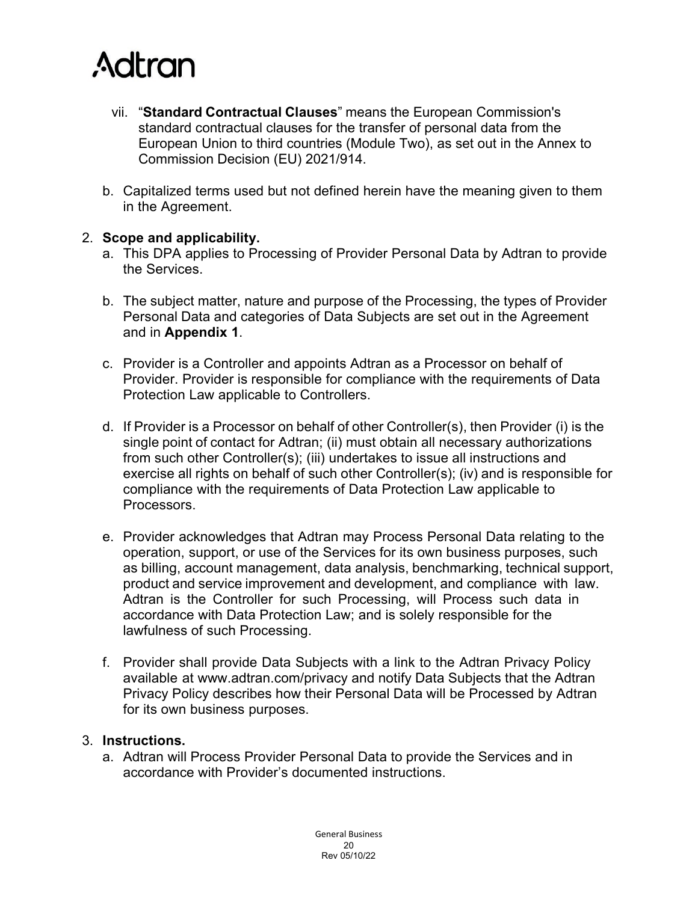

- vii. "**Standard Contractual Clauses**" means the European Commission's standard contractual clauses for the transfer of personal data from the European Union to third countries (Module Two), as set out in the Annex to Commission Decision (EU) 2021/914.
- b. Capitalized terms used but not defined herein have the meaning given to them in the Agreement.

#### 2. **Scope and applicability.**

- a. This DPA applies to Processing of Provider Personal Data by Adtran to provide the Services.
- b. The subject matter, nature and purpose of the Processing, the types of Provider Personal Data and categories of Data Subjects are set out in the Agreement and in **Appendix 1**.
- c. Provider is a Controller and appoints Adtran as a Processor on behalf of Provider. Provider is responsible for compliance with the requirements of Data Protection Law applicable to Controllers.
- d. If Provider is a Processor on behalf of other Controller(s), then Provider (i) is the single point of contact for Adtran; (ii) must obtain all necessary authorizations from such other Controller(s); (iii) undertakes to issue all instructions and exercise all rights on behalf of such other Controller(s); (iv) and is responsible for compliance with the requirements of Data Protection Law applicable to Processors.
- e. Provider acknowledges that Adtran may Process Personal Data relating to the operation, support, or use of the Services for its own business purposes, such as billing, account management, data analysis, benchmarking, technical support, product and service improvement and development, and compliance with law. Adtran is the Controller for such Processing, will Process such data in accordance with Data Protection Law; and is solely responsible for the lawfulness of such Processing.
- f. Provider shall provide Data Subjects with a link to the Adtran Privacy Policy available at www.adtran.com/privacy and notify Data Subjects that the Adtran Privacy Policy describes how their Personal Data will be Processed by Adtran for its own business purposes.

#### 3. **Instructions.**

a. Adtran will Process Provider Personal Data to provide the Services and in accordance with Provider's documented instructions.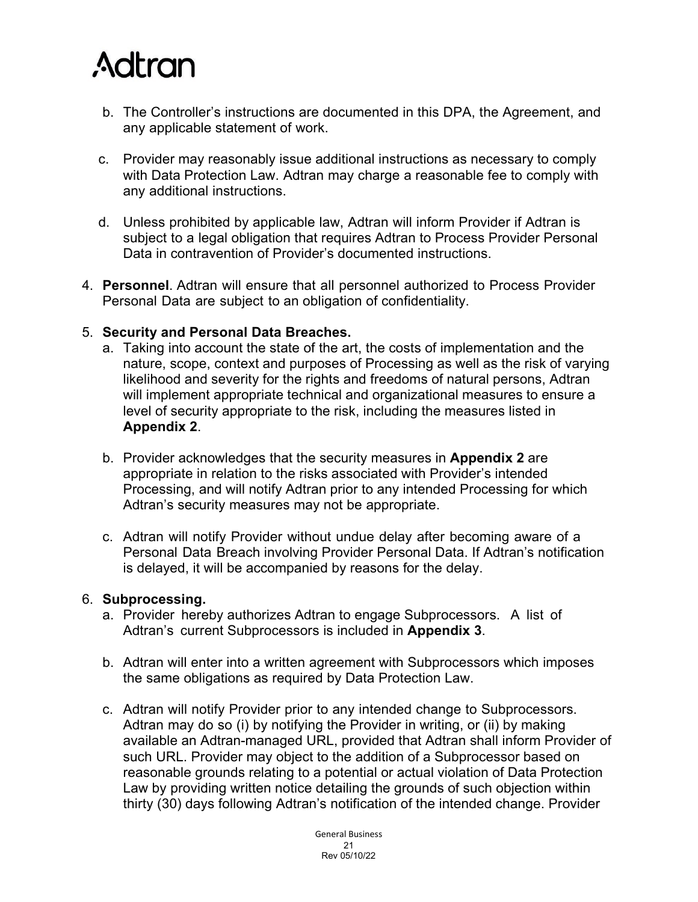

- b. The Controller's instructions are documented in this DPA, the Agreement, and any applicable statement of work.
- c. Provider may reasonably issue additional instructions as necessary to comply with Data Protection Law. Adtran may charge a reasonable fee to comply with any additional instructions.
- d. Unless prohibited by applicable law, Adtran will inform Provider if Adtran is subject to a legal obligation that requires Adtran to Process Provider Personal Data in contravention of Provider's documented instructions.
- 4. **Personnel**. Adtran will ensure that all personnel authorized to Process Provider Personal Data are subject to an obligation of confidentiality.

#### 5. **Security and Personal Data Breaches.**

- a. Taking into account the state of the art, the costs of implementation and the nature, scope, context and purposes of Processing as well as the risk of varying likelihood and severity for the rights and freedoms of natural persons, Adtran will implement appropriate technical and organizational measures to ensure a level of security appropriate to the risk, including the measures listed in **Appendix 2**.
- b. Provider acknowledges that the security measures in **Appendix 2** are appropriate in relation to the risks associated with Provider's intended Processing, and will notify Adtran prior to any intended Processing for which Adtran's security measures may not be appropriate.
- c. Adtran will notify Provider without undue delay after becoming aware of a Personal Data Breach involving Provider Personal Data. If Adtran's notification is delayed, it will be accompanied by reasons for the delay.

#### 6. **Subprocessing.**

- a. Provider hereby authorizes Adtran to engage Subprocessors. A list of Adtran's current Subprocessors is included in **Appendix 3**.
- b. Adtran will enter into a written agreement with Subprocessors which imposes the same obligations as required by Data Protection Law.
- c. Adtran will notify Provider prior to any intended change to Subprocessors. Adtran may do so (i) by notifying the Provider in writing, or (ii) by making available an Adtran-managed URL, provided that Adtran shall inform Provider of such URL. Provider may object to the addition of a Subprocessor based on reasonable grounds relating to a potential or actual violation of Data Protection Law by providing written notice detailing the grounds of such objection within thirty (30) days following Adtran's notification of the intended change. Provider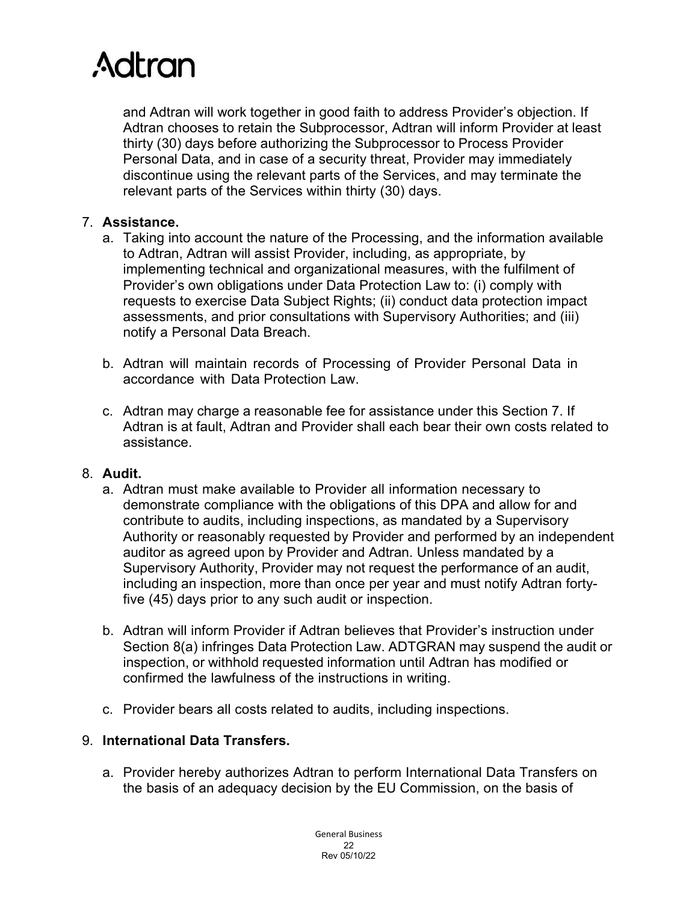

and Adtran will work together in good faith to address Provider's objection. If Adtran chooses to retain the Subprocessor, Adtran will inform Provider at least thirty (30) days before authorizing the Subprocessor to Process Provider Personal Data, and in case of a security threat, Provider may immediately discontinue using the relevant parts of the Services, and may terminate the relevant parts of the Services within thirty (30) days.

#### 7. **Assistance.**

- a. Taking into account the nature of the Processing, and the information available to Adtran, Adtran will assist Provider, including, as appropriate, by implementing technical and organizational measures, with the fulfilment of Provider's own obligations under Data Protection Law to: (i) comply with requests to exercise Data Subject Rights; (ii) conduct data protection impact assessments, and prior consultations with Supervisory Authorities; and (iii) notify a Personal Data Breach.
- b. Adtran will maintain records of Processing of Provider Personal Data in accordance with Data Protection Law.
- c. Adtran may charge a reasonable fee for assistance under this Section 7. If Adtran is at fault, Adtran and Provider shall each bear their own costs related to assistance.

#### 8. **Audit.**

- a. Adtran must make available to Provider all information necessary to demonstrate compliance with the obligations of this DPA and allow for and contribute to audits, including inspections, as mandated by a Supervisory Authority or reasonably requested by Provider and performed by an independent auditor as agreed upon by Provider and Adtran. Unless mandated by a Supervisory Authority, Provider may not request the performance of an audit, including an inspection, more than once per year and must notify Adtran fortyfive (45) days prior to any such audit or inspection.
- b. Adtran will inform Provider if Adtran believes that Provider's instruction under Section 8(a) infringes Data Protection Law. ADTGRAN may suspend the audit or inspection, or withhold requested information until Adtran has modified or confirmed the lawfulness of the instructions in writing.
- c. Provider bears all costs related to audits, including inspections.

#### 9. **International Data Transfers.**

a. Provider hereby authorizes Adtran to perform International Data Transfers on the basis of an adequacy decision by the EU Commission, on the basis of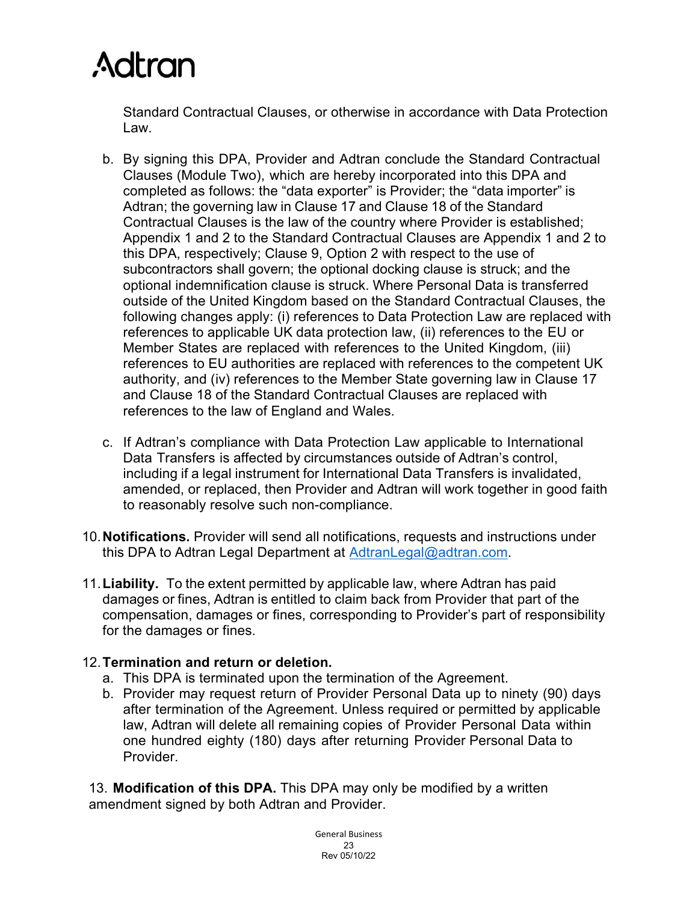Standard Contractual Clauses, or otherwise in accordance with Data Protection Law.

- b. By signing this DPA, Provider and Adtran conclude the Standard Contractual Clauses (Module Two), which are hereby incorporated into this DPA and completed as follows: the "data exporter" is Provider; the "data importer" is Adtran; the governing law in Clause 17 and Clause 18 of the Standard Contractual Clauses is the law of the country where Provider is established; Appendix 1 and 2 to the Standard Contractual Clauses are Appendix 1 and 2 to this DPA, respectively; Clause 9, Option 2 with respect to the use of subcontractors shall govern; the optional docking clause is struck; and the optional indemnification clause is struck. Where Personal Data is transferred outside of the United Kingdom based on the Standard Contractual Clauses, the following changes apply: (i) references to Data Protection Law are replaced with references to applicable UK data protection law, (ii) references to the EU or Member States are replaced with references to the United Kingdom, (iii) references to EU authorities are replaced with references to the competent UK authority, and (iv) references to the Member State governing law in Clause 17 and Clause 18 of the Standard Contractual Clauses are replaced with references to the law of England and Wales.
- c. If Adtran's compliance with Data Protection Law applicable to International Data Transfers is affected by circumstances outside of Adtran's control, including if a legal instrument for International Data Transfers is invalidated, amended, or replaced, then Provider and Adtran will work together in good faith to reasonably resolve such non-compliance.
- 10.**Notifications.** Provider will send all notifications, requests and instructions under this DPA to Adtran Legal Department at [AdtranLegal@adtran.com.](mailto:ADTRANLegal@adtran.com)
- 11.**Liability.** To the extent permitted by applicable law, where Adtran has paid damages or fines, Adtran is entitled to claim back from Provider that part of the compensation, damages or fines, corresponding to Provider's part of responsibility for the damages or fines.

### 12.**Termination and return or deletion.**

- a. This DPA is terminated upon the termination of the Agreement.
- b. Provider may request return of Provider Personal Data up to ninety (90) days after termination of the Agreement. Unless required or permitted by applicable law, Adtran will delete all remaining copies of Provider Personal Data within one hundred eighty (180) days after returning Provider Personal Data to Provider.

13. **Modification of this DPA.** This DPA may only be modified by a written amendment signed by both Adtran and Provider.

> General Business 23 Rev 05/10/22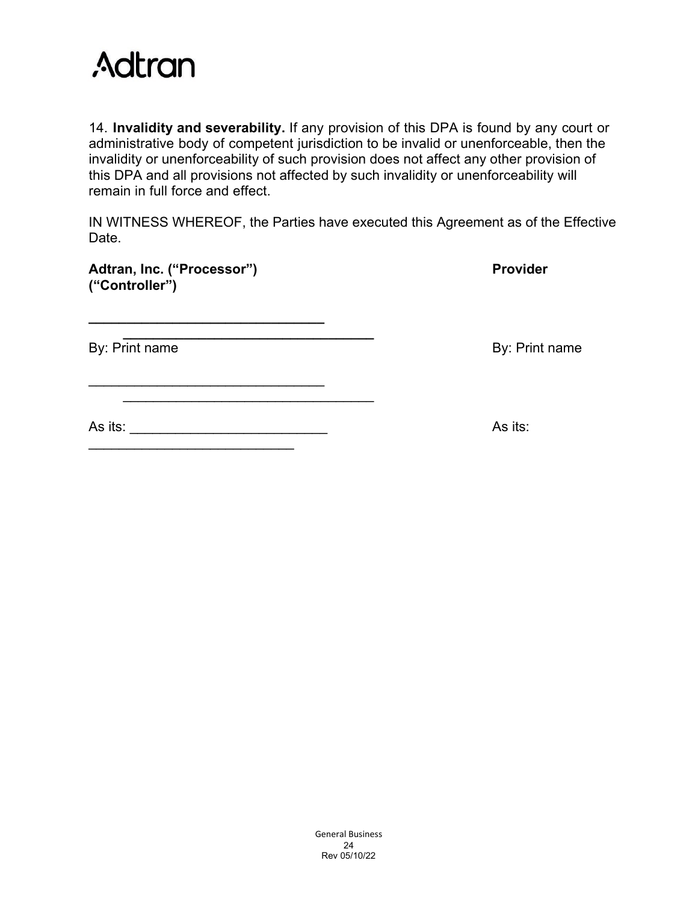

14. **Invalidity and severability.** If any provision of this DPA is found by any court or administrative body of competent jurisdiction to be invalid or unenforceable, then the invalidity or unenforceability of such provision does not affect any other provision of this DPA and all provisions not affected by such invalidity or unenforceability will remain in full force and effect.

IN WITNESS WHEREOF, the Parties have executed this Agreement as of the Effective Date.

| Adtran, Inc. ("Processor") | <b>Provider</b> |
|----------------------------|-----------------|
| ("Controller")             |                 |

**\_\_\_\_\_\_\_\_\_\_\_\_\_\_\_\_\_\_\_\_\_\_\_\_\_\_\_\_\_\_\_**

\_\_\_\_\_\_\_\_\_\_\_\_\_\_\_\_\_\_\_\_\_\_\_\_\_\_\_\_\_\_\_

\_\_\_\_\_\_\_\_\_\_\_\_\_\_\_\_\_\_\_\_\_\_\_\_\_\_\_

**\_\_\_\_\_\_\_\_\_\_\_\_\_\_\_\_\_\_\_\_\_\_\_\_\_\_\_\_\_\_\_\_\_**

 $\mathcal{L}_\text{max}$  , and the set of the set of the set of the set of the set of the set of the set of the set of the set of the set of the set of the set of the set of the set of the set of the set of the set of the set of the

By: Print name By: Print name

As its: \_\_\_\_\_\_\_\_\_\_\_\_\_\_\_\_\_\_\_\_\_\_\_\_\_\_ As its:

General Business 24 Rev 05/10/22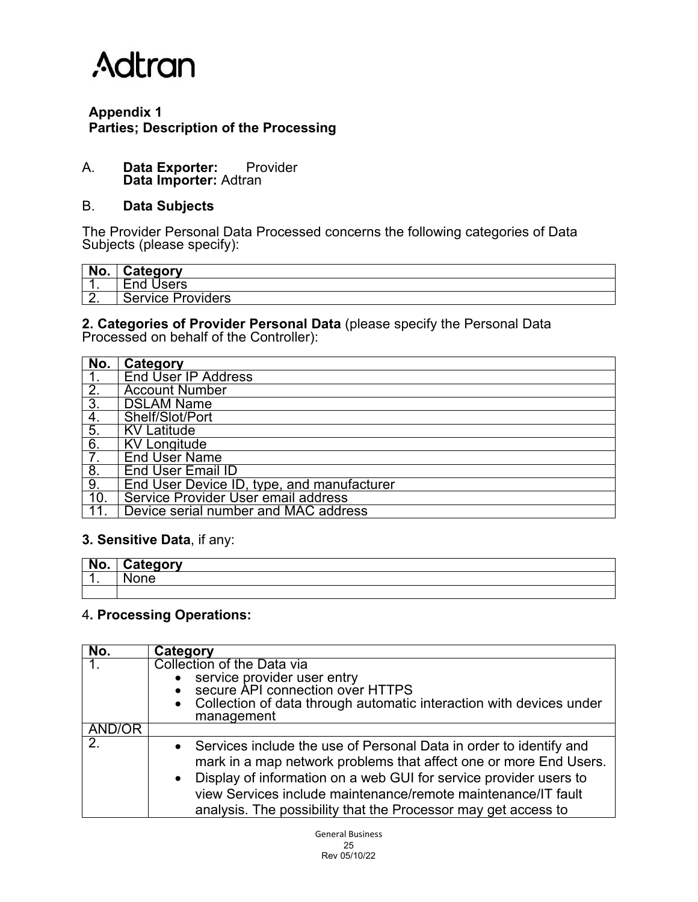### **Appendix 1 Parties; Description of the Processing**

#### A. **Data Exporter:** Provider **Data Importer:** Adtran

#### B. **Data Subjects**

The Provider Personal Data Processed concerns the following categories of Data Subjects (please specify):

| No.      | <b>Category</b>               |
|----------|-------------------------------|
| . .      | <b>End Users</b>              |
| <u>.</u> | <b>Providers</b><br>Service : |

#### **2. Categories of Provider Personal Data** (please specify the Personal Data Processed on behalf of the Controller):

| No.              | Category                                   |
|------------------|--------------------------------------------|
|                  | <b>End User IP Address</b>                 |
| $\overline{2}$ . | <b>Account Number</b>                      |
| $\overline{3}$ . | <b>DSLAM Name</b>                          |
| 4.               | Shelf/Slot/Port                            |
| $\overline{5}$ . | <b>KV Latitude</b>                         |
| $\overline{6}$ . | $\overline{KV}$ Longitude                  |
| 7.               | <b>End User Name</b>                       |
| $\overline{8}$   | <b>End User Email ID</b>                   |
| $\overline{9}$ . | End User Device ID, type, and manufacturer |
| 10.              | Service Provider User email address        |
|                  | Device serial number and MAC address       |

#### **3. Sensitive Data**, if any:

| l No. | ategorv<br>.,<br>÷. |
|-------|---------------------|
| . .   |                     |
|       |                     |

#### 4**. Processing Operations:**

| No.            | Category                                                                                                                                                                                                                                                                                                                                            |
|----------------|-----------------------------------------------------------------------------------------------------------------------------------------------------------------------------------------------------------------------------------------------------------------------------------------------------------------------------------------------------|
|                | Collection of the Data via                                                                                                                                                                                                                                                                                                                          |
|                | • service provider user entry<br>• secure API connection over HTTPS                                                                                                                                                                                                                                                                                 |
|                | • Collection of data through automatic interaction with devices under                                                                                                                                                                                                                                                                               |
|                | management                                                                                                                                                                                                                                                                                                                                          |
| AND/OR         |                                                                                                                                                                                                                                                                                                                                                     |
| 2 <sub>1</sub> | • Services include the use of Personal Data in order to identify and<br>mark in a map network problems that affect one or more End Users.<br>• Display of information on a web GUI for service provider users to<br>view Services include maintenance/remote maintenance/IT fault<br>analysis. The possibility that the Processor may get access to |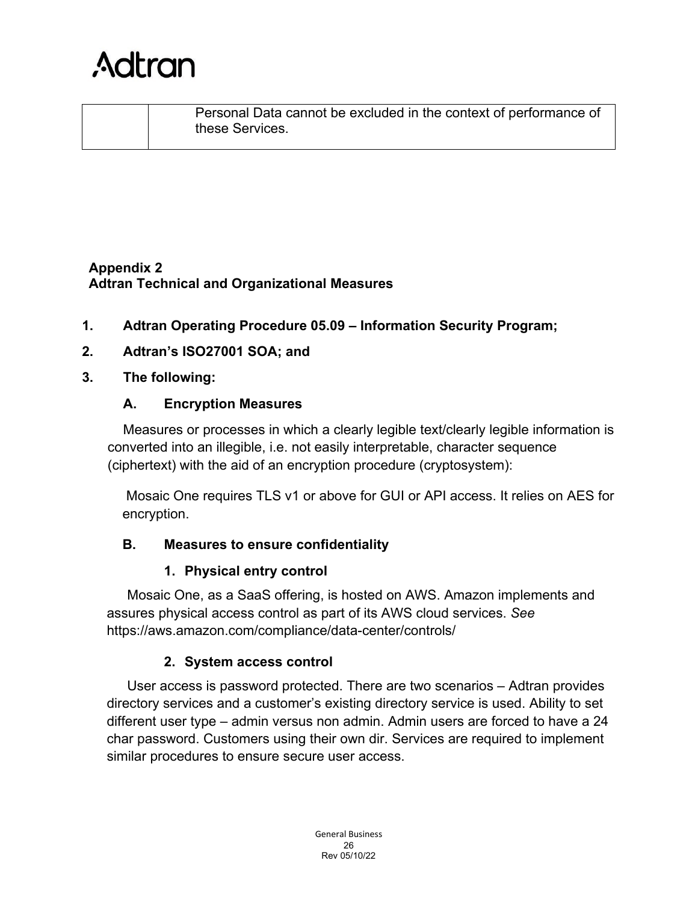

Personal Data cannot be excluded in the context of performance of these Services.

### **Appendix 2 Adtran Technical and Organizational Measures**

**1. Adtran Operating Procedure 05.09 – Information Security Program;**

### **2. Adtran's ISO27001 SOA; and**

#### **3. The following:**

#### **A. Encryption Measures**

Measures or processes in which a clearly legible text/clearly legible information is converted into an illegible, i.e. not easily interpretable, character sequence (ciphertext) with the aid of an encryption procedure (cryptosystem):

Mosaic One requires TLS v1 or above for GUI or API access. It relies on AES for encryption.

#### **B. Measures to ensure confidentiality**

#### **1. Physical entry control**

Mosaic One, as a SaaS offering, is hosted on AWS. Amazon implements and assures physical access control as part of its AWS cloud services. *See*  https://aws.amazon.com/compliance/data-center/controls/

### **2. System access control**

User access is password protected. There are two scenarios – Adtran provides directory services and a customer's existing directory service is used. Ability to set different user type – admin versus non admin. Admin users are forced to have a 24 char password. Customers using their own dir. Services are required to implement similar procedures to ensure secure user access.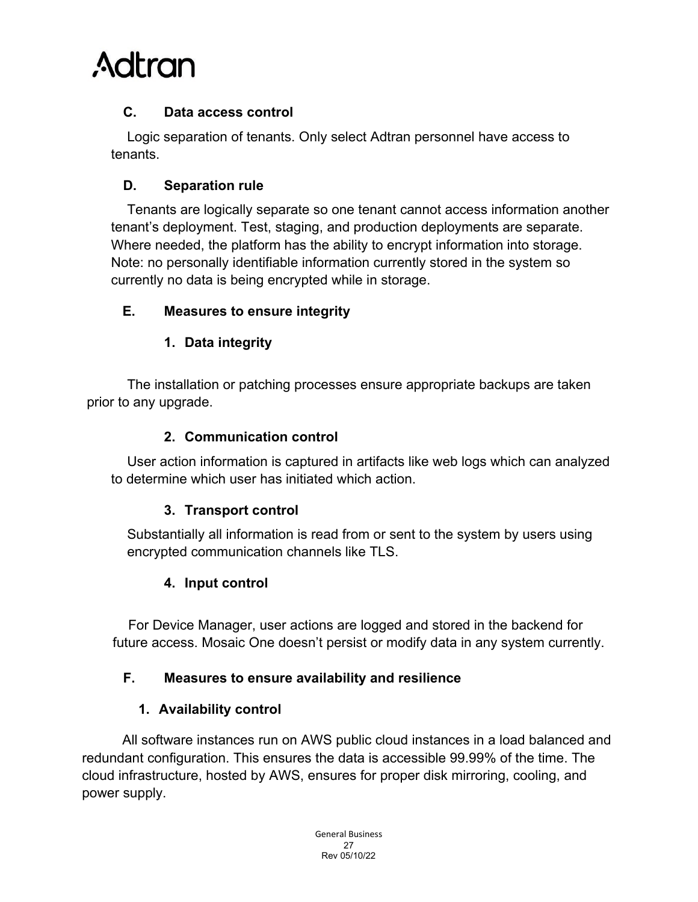

### **C. Data access control**

Logic separation of tenants. Only select Adtran personnel have access to tenants.

### **D. Separation rule**

Tenants are logically separate so one tenant cannot access information another tenant's deployment. Test, staging, and production deployments are separate. Where needed, the platform has the ability to encrypt information into storage. Note: no personally identifiable information currently stored in the system so currently no data is being encrypted while in storage.

### **E. Measures to ensure integrity**

### **1. Data integrity**

The installation or patching processes ensure appropriate backups are taken prior to any upgrade.

### **2. Communication control**

User action information is captured in artifacts like web logs which can analyzed to determine which user has initiated which action.

### **3. Transport control**

Substantially all information is read from or sent to the system by users using encrypted communication channels like TLS.

### **4. Input control**

For Device Manager, user actions are logged and stored in the backend for future access. Mosaic One doesn't persist or modify data in any system currently.

### **F. Measures to ensure availability and resilience**

### **1. Availability control**

All software instances run on AWS public cloud instances in a load balanced and redundant configuration. This ensures the data is accessible 99.99% of the time. The cloud infrastructure, hosted by AWS, ensures for proper disk mirroring, cooling, and power supply.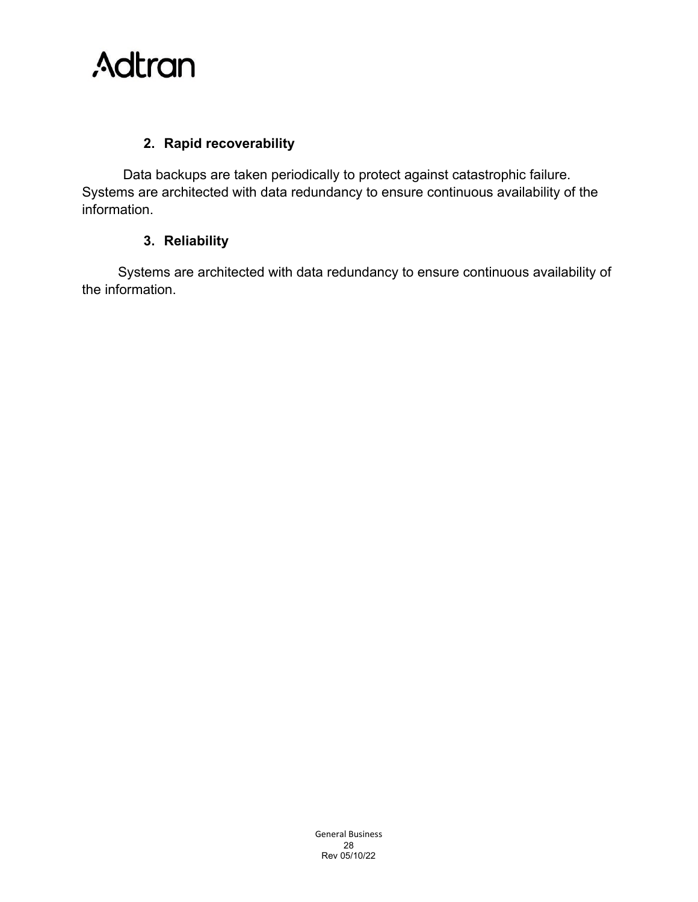### **2. Rapid recoverability**

Data backups are taken periodically to protect against catastrophic failure. Systems are architected with data redundancy to ensure continuous availability of the information.

### **3. Reliability**

Systems are architected with data redundancy to ensure continuous availability of the information.